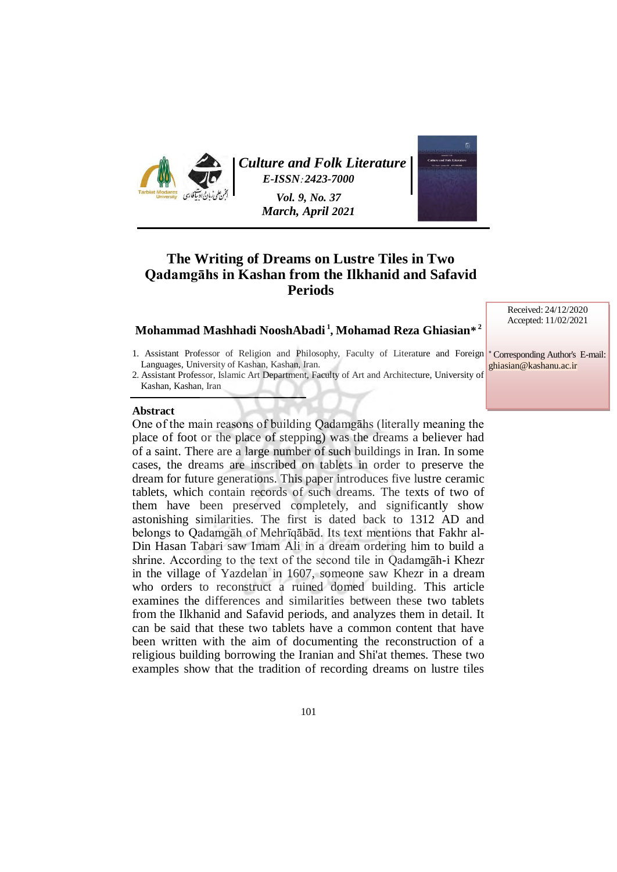

*[Culture and Folk Literature](https://journals.modares.ac.ir/index.php?sid=11&slc_lang=en)  E-ISSN***:** *2423-7000* 

> *Vol. 9, No. 37 March, April 2021*

# **The Writing of Dreams on Lustre Tiles in Two Qadamgāhs in Kashan from the Ilkhanid and Safavid Periods**

### **Mohammad Mashhadi NooshAbadi <sup>1</sup> , Mohamad Reza Ghiasian\* 2**

- 1. Assistant Professor of Religion and Philosophy, Faculty of Literature and Foreign Languages, University of Kashan, Kashan, Iran.
- 2. Assistant Professor, Islamic Art Department, Faculty of Art and Architecture, University of Kashan, Kashan, Iran

### **Abstract**

One of the main reasons of building Qadamgāhs (literally meaning the place of foot or the place of stepping) was the dreams a believer had of a saint. There are a large number of such buildings in Iran. In some cases, the dreams are inscribed on tablets in order to preserve the dream for future generations. This paper introduces five lustre ceramic tablets, which contain records of such dreams. The texts of two of them have been preserved completely, and significantly show astonishing similarities. The first is dated back to 1312 AD and belongs to Qadamgāh of Mehrīqābād. Its text mentions that Fakhr al-Din Hasan Tabari saw Imam Ali in a dream ordering him to build a shrine. According to the text of the second tile in Qadamgāh-i Khezr in the village of Yazdelan in 1607, someone saw Khezr in a dream who orders to reconstruct a ruined domed building. This article examines the differences and similarities between these two tablets from the Ilkhanid and Safavid periods, and analyzes them in detail. It can be said that these two tablets have a common content that have been written with the aim of documenting the reconstruction of a religious building borrowing the Iranian and Shi'at themes. These two examples show that the tradition of recording dreams on lustre tiles Received: 24/12/2020 Accepted: 11/02/2021

<sup>∗</sup> Corresponding Author's E-mail: [ghiasian@kashanu.ac.ir](mailto:ghiasian@kashanu.ac.ir)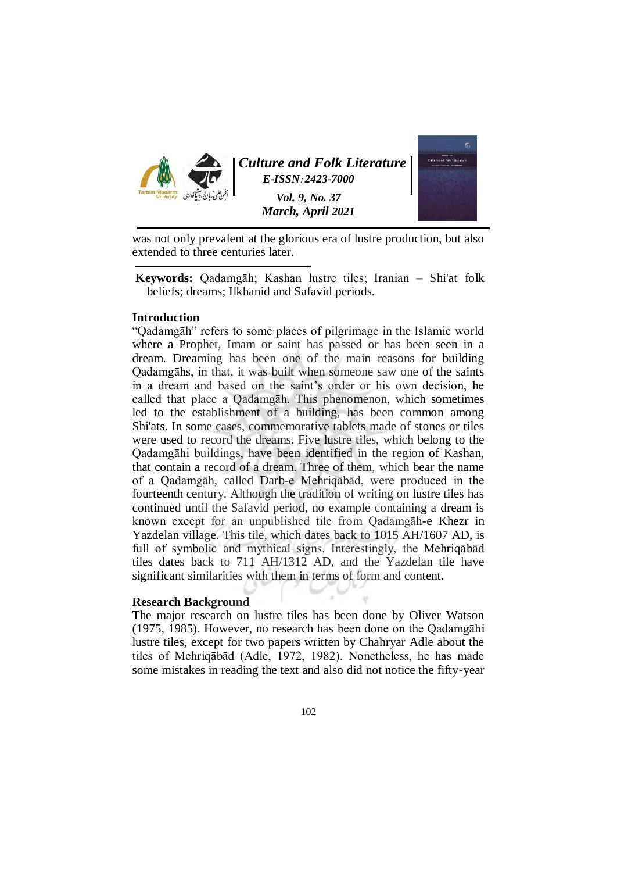

was not only prevalent at the glorious era of lustre production, but also extended to three centuries later.

**Keywords:** Qadamgāh; Kashan lustre tiles; Iranian – Shi'at folk beliefs; dreams; Ilkhanid and Safavid periods.

### **Introduction**

"Qadamgāh" refers to some places of pilgrimage in the Islamic world where a Prophet, Imam or saint has passed or has been seen in a dream. Dreaming has been one of the main reasons for building Qadamgāhs, in that, it was built when someone saw one of the saints in a dream and based on the saint's order or his own decision, he called that place a Qadamgāh. This phenomenon, which sometimes led to the establishment of a building, has been common among Shi'ats. In some cases, commemorative tablets made of stones or tiles were used to record the dreams. Five lustre tiles, which belong to the Qadamgāhi buildings, have been identified in the region of Kashan, that contain a record of a dream. Three of them, which bear the name of a Qadamgāh, called Darb-e Mehriqābād, were produced in the fourteenth century. Although the tradition of writing on lustre tiles has continued until the Safavid period, no example containing a dream is known except for an unpublished tile from Qadamgāh-e Khezr in Yazdelan village. This tile, which dates back to 1015 AH/1607 AD, is full of symbolic and mythical signs. Interestingly, the Mehriqābād tiles dates back to 711 AH/1312 AD, and the Yazdelan tile have significant similarities with them in terms of form and content.

### **Research Background**

The major research on lustre tiles has been done by Oliver Watson (1975, 1985). However, no research has been done on the Qadamgāhi lustre tiles, except for two papers written by Chahryar Adle about the tiles of Mehriqābād (Adle, 1972, 1982). Nonetheless, he has made some mistakes in reading the text and also did not notice the fifty-year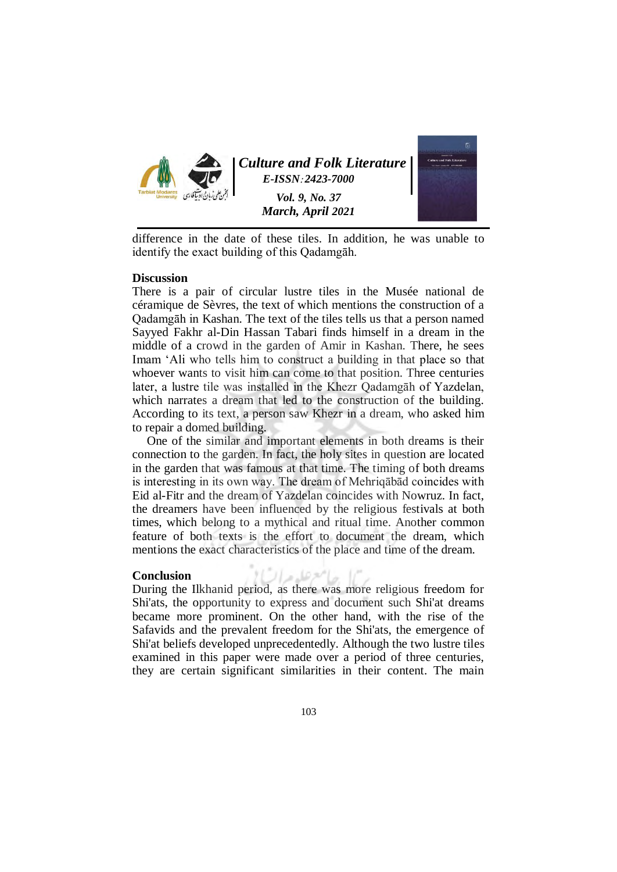

*[Culture and Folk Literature](https://journals.modares.ac.ir/index.php?sid=11&slc_lang=en)  E-ISSN***:** *2423-7000* 

> *Vol. 9, No. 37 March, April 2021*



difference in the date of these tiles. In addition, he was unable to identify the exact building of this Qadamgāh.

### **Discussion**

There is a pair of circular lustre tiles in the Musée national de céramique de Sèvres, the text of which mentions the construction of a Qadamgāh in Kashan. The text of the tiles tells us that a person named Sayyed Fakhr al-Din Hassan Tabari finds himself in a dream in the middle of a crowd in the garden of Amir in Kashan. There, he sees Imam 'Ali who tells him to construct a building in that place so that whoever wants to visit him can come to that position. Three centuries later, a lustre tile was installed in the Khezr Qadamgāh of Yazdelan, which narrates a dream that led to the construction of the building. According to its text, a person saw Khezr in a dream, who asked him to repair a domed building.

One of the similar and important elements in both dreams is their connection to the garden. In fact, the holy sites in question are located in the garden that was famous at that time. The timing of both dreams is interesting in its own way. The dream of Mehriqābād coincides with Eid al-Fitr and the dream of Yazdelan coincides with Nowruz. In fact, the dreamers have been influenced by the religious festivals at both times, which belong to a mythical and ritual time. Another common feature of both texts is the effort to document the dream, which mentions the exact characteristics of the place and time of the dream.

### **Conclusion**

**Conclusion**<br>During the Ilkhanid period, as there was more religious freedom for Shi'ats, the opportunity to express and document such Shi'at dreams became more prominent. On the other hand, with the rise of the Safavids and the prevalent freedom for the Shi'ats, the emergence of Shi'at beliefs developed unprecedentedly. Although the two lustre tiles examined in this paper were made over a period of three centuries, they are certain significant similarities in their content. The main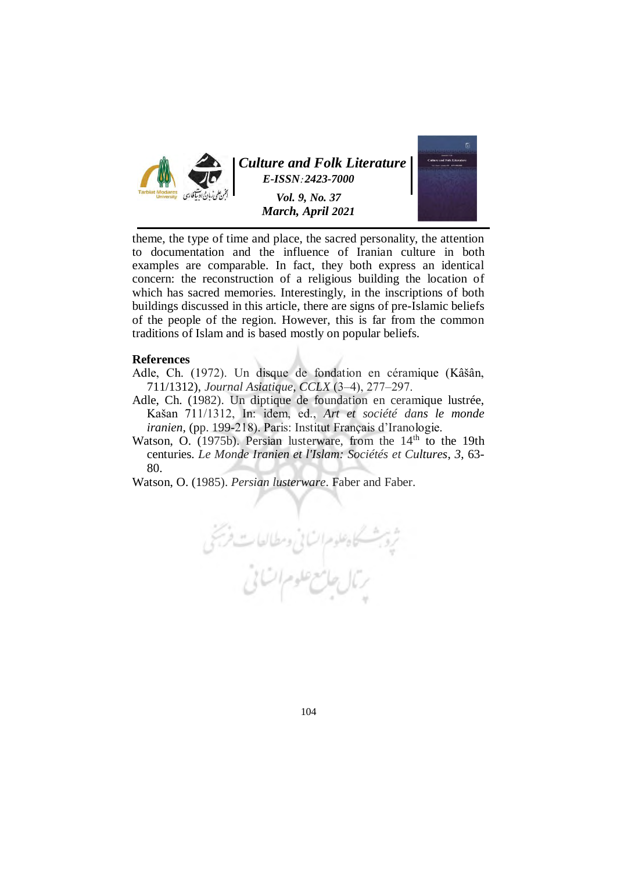

theme, the type of time and place, the sacred personality, the attention to documentation and the influence of Iranian culture in both examples are comparable. In fact, they both express an identical concern: the reconstruction of a religious building the location of which has sacred memories. Interestingly, in the inscriptions of both buildings discussed in this article, there are signs of pre-Islamic beliefs of the people of the region. However, this is far from the common traditions of Islam and is based mostly on popular beliefs.

### **References**

- Adle, Ch. (1972). Un disque de fondation en céramique (Kâšân, 711/1312), *Journal Asiatique*, *CCLX* (3‒4), 277‒297.
- Adle, Ch. (1982). Un diptique de foundation en ceramique lustrée, Kašan 711/1312, In: idem, ed., *Art et société dans le monde iranien,* (pp. 199-218). Paris: Institut Français d'Iranologie.
- Watson, O. (1975b). Persian lusterware, from the  $14<sup>th</sup>$  to the 19th centuries. *Le Monde Iranien et l'Islam: Sociétés et Cultures*, *3*, 63- 80.
- Watson, O. (1985). *Persian lusterware*. Faber and Faber.

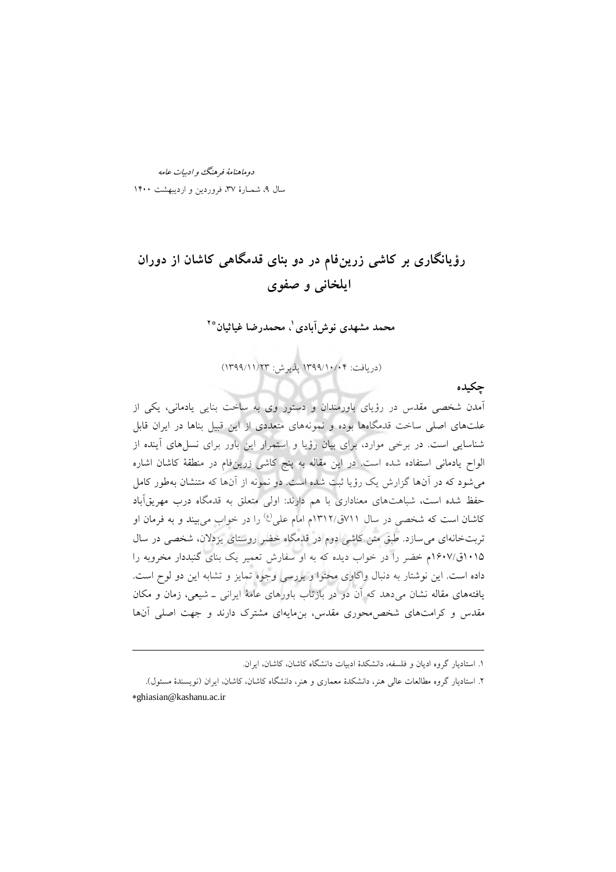دوماهنامة فرهنگ و ادبیات عامه 37شمـارة 9، سال ، فروردین و اردیبهشت 0011

 $\overline{a}$ 

# **رؤیانگاری بر کاشی زرینفام در دو بنای قدمگاهی کاشان از دوران ایلخانی و صفوی**

**1 محمد مشهدی نوشآبادی ، محمدرضا غیاثیان 2\***

(دریافت: ۱۳۹۹/۱۰/۰۴ پذیرش: ۱۳۹۹/۱۱/۲۳)

**چکیده**

آمدن شخصی مقدس در رؤیای باورمندان و دستور وی به ساخت بنایی یادمانی، یکی از علتهای اصلی ساخت قدمگاهها بوده و نمونههای متعددی از این قبیل بناها در ایران قابل شناسایی است. در برخی موارد، برای بیان رؤیا و استمرار این باور برای نسلهای آینده از الواح یادمانی استفاده شده است. در این مقاله به پنج کاشی زرینفام در منطقۀ کاشان اشاره میشود که در آنها گزارش یک رؤیا ثبت شده است. دو نمونه از آنها که متنشان بهطور کامل حفظ شده است، شباهتهای معناداری با هم دارند: اولی متعلق به قدمگاه درب مهریقآباد کاشان است که شخصی در سال ۷۱۱ق/۱۳۱۲م امام علی<sup>(ع)</sup> را در خواب می بیند و به فرمان او تربتخانهای میسازد. طبق متن کاشی دوم در قدمگاه خضر روستای یزدالن، شخصی در سال 0101ق0017/م خضر را در خواب دیده که به او سفارش تعمیر یک بنای گنبددار مخروبه را داده است. این نوشتار به دنبال واکاوی محتوا و بررسی وجوه تمایز و تشابه این دو لوح است. یافتههای مقاله نشان میدهد که آن دو در بازتاب باورهای عامۀ ایرانی ـ شیعی، زمان و مکان مقدس و کرامتهای شخص محوری مقدس، بن مایهای مشترک دارند و جهت اصلی آنها

<sup>.0</sup> استادیار گروه ادیان و فلسفه، دانشکدة ادبیات دانشگاه کاشان، کاشان، ایران.

<sup>.3</sup> استادیار گروه مطالعات عالی هنر، دانشکدة معماری و هنر، دانشگاه کاشان، کاشان، ایران )نویسندة مسئول(. ∗[ghiasian@kashanu.ac.ir](mailto:ghiasian@kashanu.ac.ir)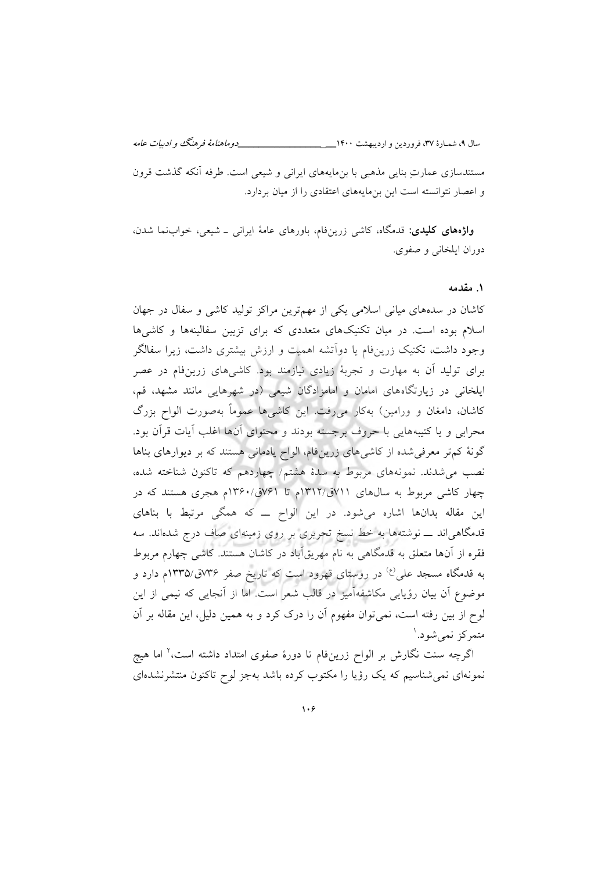مستندسازی عمارتِ بنایی مذهبی با بنمایههای ایرانی و شیعی است. طرفه آنکه گذشت قرون و اعصار نتوانسته است این بنمایههای اعتقادی را از میان بردارد.

**واژه های کلیدی:** قدمگاه، کاشی زرینفام، باورهای عامۀ ایرانی ـ شیعی، خوابنما شدن، دوران ایلخانی و صفوی.

### **مقدمه 1.**

کاشان در سدههای میانی اسلامی یکی از مهمترین مراکز تولید کاشی و سفال در جهان اسالم بوده است. در میان تکنیکهای متعددی که برای تزیین سفالینه ها ها و کاشی وجود داشت، تکنیک زرینفام یا دوآتشه اهمیت و ارزش بیشتری داشت، زیرا سفالگر برای تولید آن به مهارت و تجربۀ زیادی نیاز . کاشیبود مند های زرینفام در عصر ایلخانی در زیارتگاههای امامان و امامزادگان شیعی (در شهرهایی مانند مشهد، قم، کاشان، دامغان و ورامین) بهکار میرفت. این کاشیها عموماً بهصورت الواح بزرگ محرابی و یا کتیبههایی با حروف برجسته بودند و محتوای آنها اغلب آیات قرآن بود. گونۀ کمتر معرفی شده از کاشی های زرین فام، الواح یادمانی هستند که بر دیوارهای بناها نصب میشدند. نمونههای مربوط به سدة هشتم/ چهاردهم که تاکنون شناخته شده، چهار کاشی مربوط به سالهای 700ق0303/م تا 700ق0301/م هجری هستند که در این مقاله بدانها اشاره میشود. در این الواح ــ که همگی مرتبط با بناهای قدمگاهی اند ـــ نوشتهها به خط نسخ تحریری بر روی زمینهای صاف درج شدهاند. سه فقره از آنها متعلق به قدمگاهی به نام مهریقآباد در کاشان هستند. کاشی چهارم مربوط به قدمگاه مسجد علی<sup>(ع)</sup> در روستای قهرود است که تاریخ صفر ۷۳۶ق/۱۳۳۵م دارد و موضوع آن بیان رؤیایی مکاشفهآمیز در قالب شعر است. اما از آنجایی که نیمی از این لوح از بین رفته است، نمیتوان مفهوم آن را درک کرد و به همین دلیل، این مقاله بر آن متمرکز نمیشود.ا

اگرچه سنت نگارش بر الواح زرینفام تا دورهٔ صفوی امتداد داشته است،<sup>۲</sup> اما هیچ نمونهای نمی شناسیم که یک رؤیا را مکتوب کرده باشد بهجز لوح تاکنون منتشرنشدهای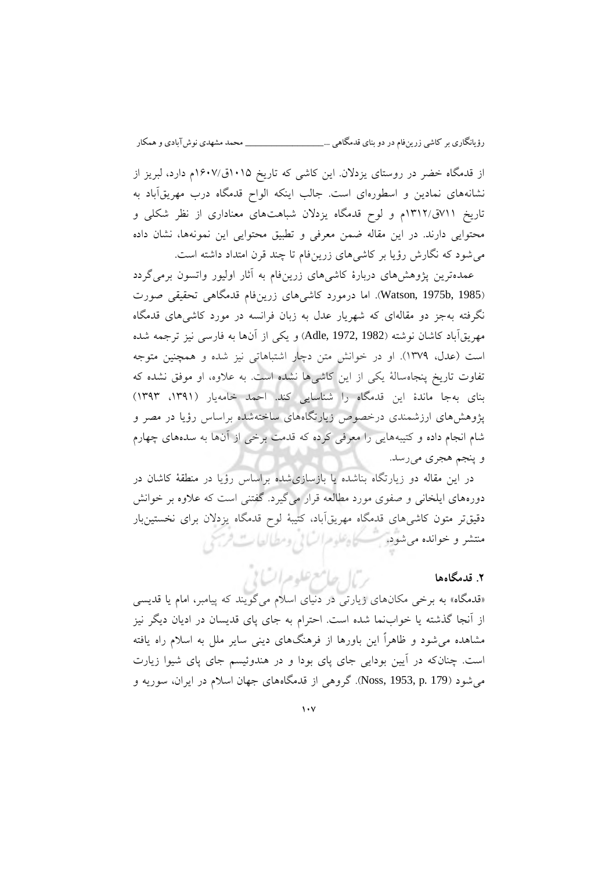از قدمگاه خضر در روستای یزدالن. این کاشی که تاریخ 0101ق0017/م دارد، لبریز از نشانههای نمادین و اسطورهای است. جالب اینکه الواح قدمگاه درب مهریقآباد به تاریخ 700ق0303/م و لوح قدمگاه یزدالن شباهتهای معناداری از نظر شکلی و محتوایی دارند. در این مقاله ضمن معرفی و تطبیق محتوایی این نمونهها، نشان داده میشود که نگارش رؤیا بر کاشیهای زرینفام تا چند قرن امتداد داشته است.

عمدهترین پژوهش های دربارهٔ کاشی های زرینفام به آثار اولیور واتسون برمی گردد (Watson, 1975b, 1985). اما درمورد کاشیهای زرینفام قدمگاهی تحقیقی صورت نگرفته بهجز دو مقالهای که شهریار عدل به زبان فرانسه در مورد کاشیهای قدمگاه مهریقآباد کاشان نوشته )1982 1972, ,Adle )و یکی از آنها به فارسی نیز ترجمه شده است )عدل، 0379(. او در خوانش متن دچار اشتباهاتی نیز شده و همچنین متوجه تفاوت تاریخ پنجاهسالۀ یکی از این کاشیها نشده است. به عالوه، او موفق نشده که بنای بهجا ماندة این قدمگاه را شناسایی کند. احمد خامهیار )،0390 0393( پژوهشهای ارزشمندی درخصوص زیارتگاههای ساختهشده براساس رؤیا در مصر و شام انجام داده و کتیبههایی را معرفی کرده که قدمت برخی از آنها به سدههای چهارم و پنجم هجری میرسد.

در این مقاله دو زیارتگاه بناشده یا بازسازیشده براساس رؤیا در منطقۀ کاشان در دورههای ایلخانی و صفوی مورد مطالعه قرار می گیرد. گفتنی است که علاوه بر خوانش دقیقتر متون کاشیهای قدمگاه مهریقآباد، کتیبۀ لوح قدمگاه یزدلان برای نخستینبار منتشر و خوانده می شود. مسکاه علوم السانی ومطالعات فرسخی

### **.2 قدمگاهها**

 «قدمگاه» به برخی مکان های زیارتی در دنیای اسالم می گویند که پیامبر، امام یا قدیسی از آنجا گذشته یا خوابنما شده است. احترام به جای پای قدیسان در ادیان دیگر نیز شاهده میم شود و ظاهراً این باورها از فرهنگهای دینی سایر ملل به اسالم راه یافته است. چنان که در آیین بودایی جای پای بودا و در هندوئیسم جای پای شیوا زیارت میشود (Noss, 1953, p. 179). گروهی از قدمگاههای جهان اسلام در ایران، سوریه و

بربال جامع علوم اتسابي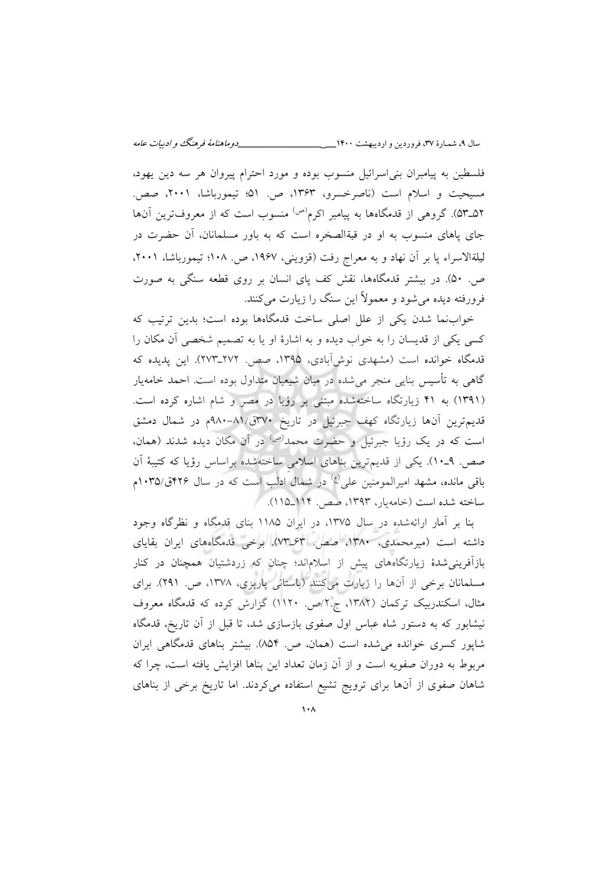فلسطین به پیامبران بنیاسرائیل منسوب بوده و مورد احترام پیروان هر سه دین یهود، مسیحیت و اسالم است )ناصرخسرو، 0303 ، ص. 10؛ تیمورباشا، 3110 ، صص. ۵۳ـ۵۲). گروهی از قدمگاهها به پیامبر اکرم<sup>(ص)</sup> منسوب است که از معروفترین آنها جای پاهای منسوب به او در قبةالصخره است که به باور مسلمانان، آن حضرت در لیلةالاسراء پا بر آن نهاد و به معراج رفت (قزوینی، ۱۹۶۷، ص. ۱۰۸؛ تیمورباشا، ۲۰۰۱. ص. 11(. در بیشتر قدمگاهها، نقش کف پای انسان بر روی قطعه سنگی به صورت فرورفته دیده میشود و معموالً این سنگ را زیارت میکنند.

نماخواب شدن یکی از علل اصلی ساخت قدمگاهها بوده است؛ بدین ترتیب که کسی یکی از قدیسان را به خواب دیده و به اشارة او یا به تصمیم شخصی آن مکان را قدمگاه خوانده است (مشهدی نوشآبادی، ۱۳۹۵، صص. ۲۷۲ـ۲۷۳). این پدیده که گاهی به تأسیس بنایی منجر میشده در میان شیعیان متداول بوده است. احمد خامهیار )0390( به 00 زیارتگاه ساختهشده مبتنی بر رؤیا در مصر و شام اشاره کرده است. قدیمترین آنها زیارتگاه کهف جبرئیل در تاریخ 371ق911-10/م در شمال دمشق است که در یک رؤیا جبرئیل و حضرت محمد<sup>(ص)</sup> در آن مکان دیده شدند (همان، صص. ـ9 01(. یکی از قدیمترین بناهای اسالمیِ ساختهشده براساس رؤیا که کتیبۀ آن باقی مانده، مشهد امیرالمومنین علی<sup>(ع)</sup> در شمال ادلب است که در سال ۴۲۶ق/۱۰۳۵م ساخته شده است (خامهیار، ۱۳۹۳، صص. ۱۱۴\_۱۱۵).

بنا بر آمار ارائهشده در سال ،0371 در ایران 0011 بنای قدمگاه و نظرگاه وجود داشته است )میرمحمدی، 0311 ، صص. 03ـ73(. برخی قدمگاههای ایران بقایای بازآفرینیشدة زیارتگاههای پیش از اسالماند؛ چنان که زردشتیان همچنان در کنار مسلمانان برخی از آنها را زیارت میکنند (باستانی پاریزی، ۱۳۷۸، ص. ۲۹۱). برای مثال، اسکندربیک ترکمان (۱۳۸۲، ج.۲/ص. ۱۱۲۰) گزارش کرده که قدمگاه معروف نیشابور که به دستور شاه عباس اول صفوی بازسازی شد، تا قبل از آن تاریخ، قدمگاه شاپور کسری خوانده می شده است (همان، ص. ۸۵۴). بیشتر بناهای قدمگاهی ایران مربوط به دوران صفویه است و از آن زمان تعداد این بناها افزایش یافته است، چرا که شاهان صفوی از آنها برای ترویج تشیع استفاده میکردند. اما تاریخ برخی از بناهای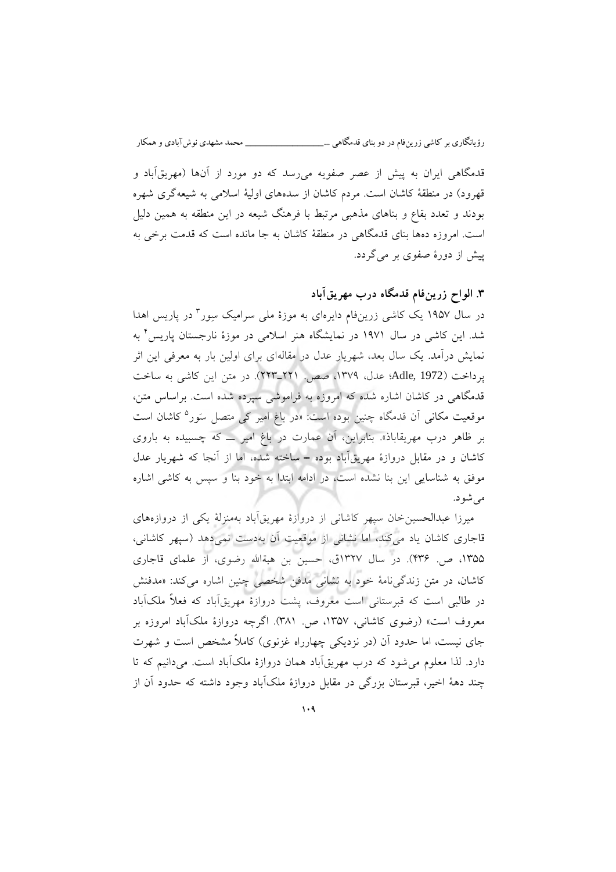قدمگاهی ایران به پیش از عصر صفویه می رسد که دو مورد از آنها (مهریقآباد و قهرود) در منطقۀ کاشان است. مردم کاشان از سدههای اولیهٔ اسلامی به شیعه گری شهره بودند و تعدد بقاع و بناهای مذهبی مرتبط با فرهنگ شیعه در این منطقه به همین دلیل است. امروزه دهها بنای قدمگاهی در منطقۀ کاشان به جا مانده است که قدمت برخی به پیش از دورة صفوی بر میگردد.

# **. الواح زرین3 فام قدمگاه آباددرب مهریق**

در سال ۱۹۵۷ یک کاشی زرینفام دایرهای به موزهٔ ملی سرامیک سِور ٔ در پاریس اهدا 0 شد. این کاشی در سال 0970 در نمایشگاه هنر اسالمی در موزة نارجستان پاریس به نمایش درآمد. یک سال بعد، شهریار عدل در مقالهای برای اولین بار به معرفی این اثر پرداخت )1972 ,Adle؛ عدل، ،0379 صص. 330ـ333(. در متن این کاشی به ساخت قدمگاهی در کاشان اشاره شده که امروزه به فراموشی سپرده شده است. براساس متن، موقعیت مکانی آن قدمگاه چنین بوده است: «در باغ امیر کی متصل سَور<sup>ه</sup> کاشان است بر ظاهر درب مهریقاباذ«. بنابراین، آن عمارت در باغ امیر ــ که چسبیده به باروی کاشان و در مقابل دروازة مهریقآباد بوده ــ ساخته شده، اما از آنجا که شهریار عدل موفق به شناسایی این بنا نشده است، در ادامه ابتدا به خود بنا و سپس به کاشی اشاره می شو د.

میرزا عبدالحسینخان سپهر کاشانی از دروازهٔ مهریقآباد بهمنزلۀ یکی از دروازههای قاجاری کاشان یاد میکند، اما نشانی از موقعیت آن به دست نمی دهد (سپهر کاشانی، ۱۳۵۵، ص. ۴۳۶). در سال ۱۳۲۷ق، حسین بن هبةالله رضوی، از علمای قاجاری کاشان، در متن زندگی نامۀ خود به نشانی مدفن شخصی چنین اشاره می کند: «مدفنش در طالبی است که قبرستانی است معروف، پشت دروازهٔ مهریقآباد که فعلاً ملکآباد معروف است» (رضوی کاشانی، ۱۳۵۷، ص. ۳۸۱). اگرچه دروازهٔ ملکآباد امروزه بر جای نیست، اما حدود آن (در نزدیکی چهارراه غزنوی) کاملاً مشخص است و شهرت دارد. لذا معلوم می شود که درب مهریق آباد همان دروازهٔ ملک آباد است. می دانیم که تا چند دهۀ اخیر، قبرستان بزرگی در مقابل دروازۀ ملکآباد وجود داشته که حدود آن از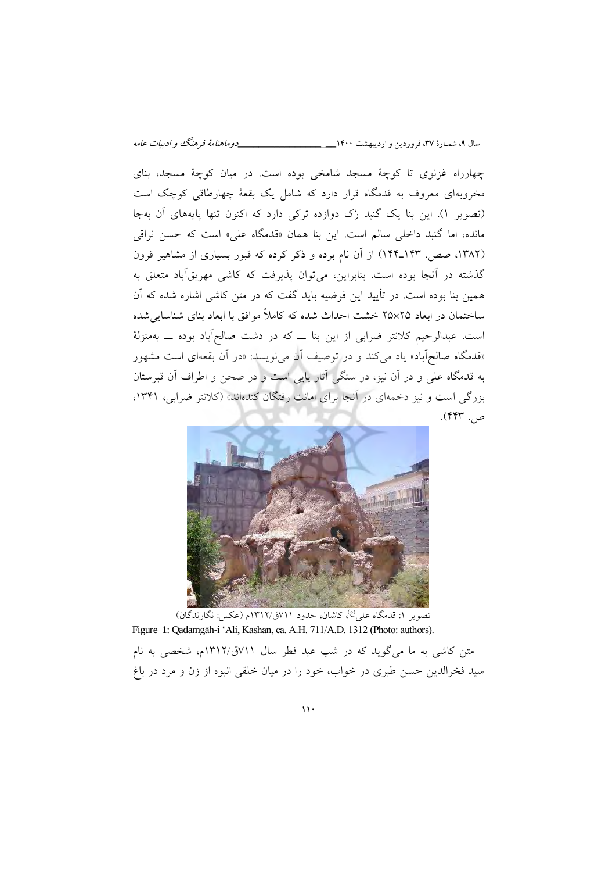چهارراه غزنوی تا کوچۀ مسجد شامخی بوده است. در میان کوچۀ مسجد، بنای مخروبهای معروف به قدمگاه قرار دارد که شامل یک بقعۀ چهارطاقی کوچک است (تصویر ۱). این بنا یک گنبد رُک دوازده ترکی دارد که اکنون تنها پایههای آن بهجا مانده، اما گنبد داخلی سالم است. این بنا همان «قدمگاه علی» است که حسن نراقی (۱۳۸۲، صص. ۱۴۳ـ۱۴۴) از آن نام برده و ذکر کرده که قبور بسیاری از مشاهیر قرون گذشته در آنجا بوده است. بنابراین، می توان پذیرفت که کاشی مهریقآباد متعلق به همین بنا بوده است. در تأیید این فرضیه باید گفت که در متن کاشی اشاره شده که آن ساختمان در ابعاد 31×31 خشت احداث شده که کامالً موافق با ابعاد بنای شناساییشده است. عبدالرحیم کالنتر ضرابی از این بنا ــ که در دشت صالح آباد بوده ــ به منزلۀ «قدمگاه صالح آباد» یاد می کند و در توصیف آن می نویسد: «در آن بقعهای است مشهور به قدمگاه علی و در آن نیز، در سنگی آثار پایی است و در صحن و اطراف آن قبرستان بزرگی است و نیز دخمه ای در آنجا برای امانت رفتگان کندهاند» (کلانتر ضرابی، ۱۳۴۱، ص. ۴۴۳).



نصویر ۱: قدمگاه علی<sup>(ع)</sup>، کاشان، حدود ۷۱۱ق/۱۳۱۲م (عکس: نگارندگان) Figure 1: Qadamgāh-i 'Ali, Kashan, ca. A.H. 711/A.D. 1312 (Photo: authors).

متن کاشی به ما میگوید که در شب عید فطر سال 700ق0303/م، شخصی به نام سید فخرالدین حسن طبری در خواب، خود را در میان خلقی انبوه از زن و مرد در باغ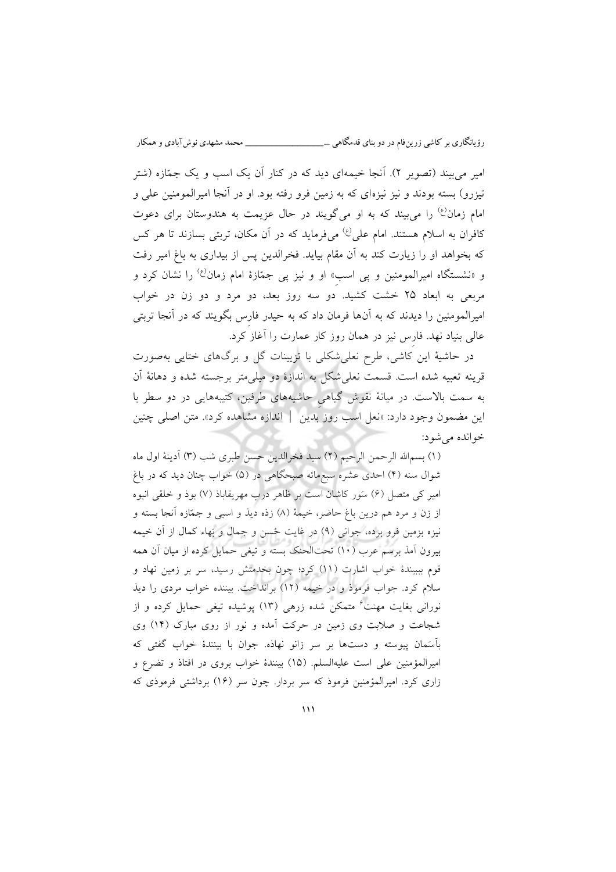امیر می بیند (تصویر ۲). آنجا خیمهای دید که در کنار آن یک اسب و یک جمّازه (شتر تیزرو( بسته بودند و نیز نیزهای که به زمین فرو رفته بود. او در آنجا امیرالمومنین علی و امام زمان<sup>(ع)</sup> را می بیند که به او میگویند در حال عزیمت به هندوستان برای دعوت کافران به اسلام هستند. امام علی<sup>(ع)</sup> میفرماید که در آن مکان، تربتی بسازند تا هر کس که بخواهد او را زیارت کند به آن مقام بیاید. فخرالدین پس از بیداری به باغ امیر رفت و «نشستگاه امیرالمومنین و پی اسبِ» او و نیز پی جمّازهٔ امام زمان<sup>رع،</sup> را نشان کرد و مربعی به ابعاد 31 خشت کش ید. دو سه روز بعد، دو مرد و دو زن در خواب امیرالمومنین را دیدند که به آنها فرمان داد که به حیدر فارِس بگویند که در آنجا تربتی عالی بنیاد نهد. فارِس نیز در همان روز کار عمارت را آغاز کرد.

در حاشیۀ این کاشی، طرح نعلیشکلی با تزیینات گل و برگهای ختایی بهصورت قرینه تعبیه شده است. قسمت نعلیشکل به اندازة دو میلیمتر برجسته شده و دهانۀ آن به سمت باالست. در میانۀ نقوش گیاهیِ حاشیههای طرفین، کتیبههایی در دو سطر با این مضمون وجود دارد: »نعل اسب روز بدین | اندازه مشاهده کرد«. متن اصلی چنین شودخوانده می :

(۱) بسم|لله الرحمن الرحیم (۲) سید فخرالدین حسن طبری شب (۳) آدینۀ اول ماه 0شوال سنه ) ( احدی عشره سبعمائه صبحگاهی در )1( خواب چنان دید که در باغ امیر کی متصل (۶) سَور کاشان است بر ظاهر درب مهریقاباذ (۷) بوذ و خلقی انبوه از زن و مرد هم درین باغ حاضر، خیمۀ )1( زذه دیذ و اسبی و جمّازه آنجا بسته و نیزه بزمین فرو برده، جوانی (۹) در غایت حُسن و جمال و بَهاء کمال از آن خیمه بیرون آمذ برسم عرب )01( تحتالحنک بسته و تیغی حمایل کرده از میان آن همه قوم بببیندهٔ خواب اشارت (١١) کرد؛ چون بخدمتش رسید، سر بر زمین نهاد و سالم کرد. جواب فرموذ و در خیمه )03( برانداخت. بیننده خواب مردی را دیذ نورانی بغایت مهنت<sup>اع</sup> متمکن شده زرهی (۱۳) پوشیده تیغی حمایل کرده و از شجاعت و صالبت وی زمین در حرکت آمده و نور از روی مبارک )00( وی بآسَمان پیوسته و دستها بر سر زانو نهاذه. جوان با بینندة خواب گفتی که امیرالمؤمنین علی است علیهالسلم. )01( بینندة خواب بروی در افتاذ و تضرع و زاری کرد. امیرالمؤمنین فرموذ که سر بردار. چون سر (۱۶) برداشتی فرموذی که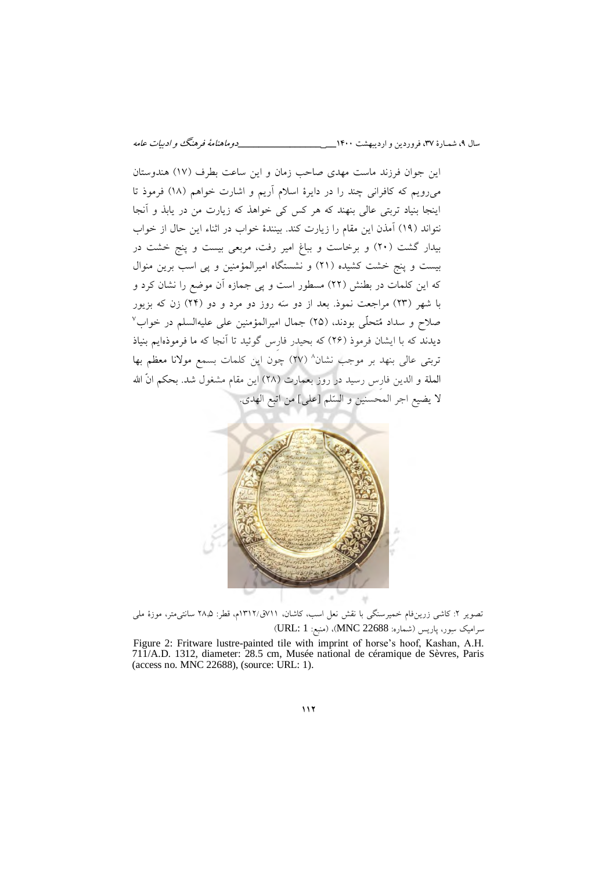این جوان فرزند ماست مهدی صاحب زمان و این ساعت بطرف )07( هندوستان میرویم که کافرانی چند را در دایرة اسالم آریم و اشارت خواهم )01( فرموذ تا اینجا بنیاد تربتی عالی بنهند که هر کس کی خواهذ که زیارت من در یابذ و آنجا نتواند )09( آمذن این مقام را زیارت کند. بینندة خواب در اثناء این حال از خواب بیدار گشت (۲۰) و برخاست و بباغ امیر رفت، مربعی بیست و پنج خشت در بیست و پنج خشت کشیده )30( و نشستگاه امیرالمؤمنین و پی اسب برین منوال که این کلمات در بطنش )33( مسطور است و پی جمازه آن موضع را نشان کرد و با شهر (۲۳) مراجعت نموذ. بعد از دو سَه روز دو مرد و دو (۲۴) زن که بزیور صلاح و سداد مُتحلّى بودند، (٢٥) جمال امیرالمؤمنین علی علیهالسلم در خواب<sup>٧</sup> دیدند که با ایشان فرموذ )30( که بحیدر فارِس گوئید تا آنجا که ما فرموذهایم بنیاذ تربتی عالی بنهد بر موجب نشان^ (٢٧) چون این کلمات بسمع مولانا معظم بها الملة و الدین فارس رسید در روز بعمارت (٢٨) این مقام مشغول شد. بحکم انَّ الله لا یضیع اجر المحسنین و السّلم [علی] من اتبع الهدی.



تصویر ۲: کاشی زرینفام خمیرسنگی با نقش نعل اسب، کاشان، ۷۱۱ق/۱۳۱۲م، قطر: ۲۸٫۵ سانتی متر، موزهٔ ملی سرامیک سِور، پاریس )شماره: 22688 MNC)،( منبع: 1 :URL)

Figure 2: Fritware lustre-painted tile with imprint of horse's hoof, Kashan, A.H. 711/A.D. 1312, diameter: 28.5 cm, Musée national de céramique de Sèvres, Paris (access no. MNC 22688), (source: URL: 1).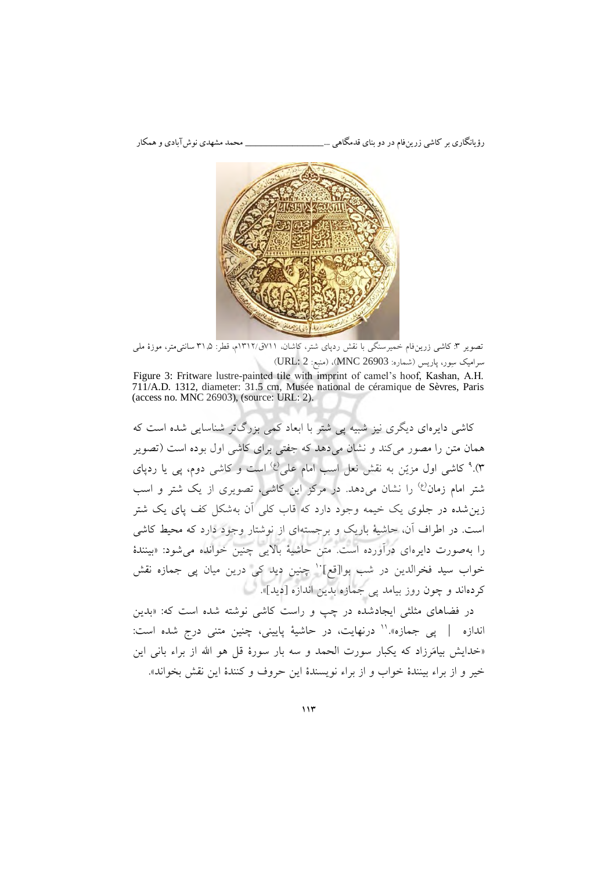

تصویر ۳: کاشی زرین فام خمیرسنگی با نقش ردپای شتر، کاشان، ۷۱۱ق/۱۳۱۲م، قطر: ۳۱٫۵ سانتی متر، موزهٔ ملی سرامیک سِور، پاریس )شماره: 26903 MNC)،( منبع: 2 :URL)

Figure 3: Fritware lustre-painted tile with imprint of camel's hoof, Kashan, A.H. 711/A.D. 1312, diameter: 31.5 cm, Musée national de céramique de Sèvres, Paris (access no. MNC 26903), (source: URL: 2).

کاشی دایرهای دیگری نیز شبیه پی شتر با ابعاد کمی بزرگتر شناسایی شده است که همان متن را مصور می کند و نشان می دهد که جفتی برای کاشی اول بوده است (تصویر ۰).<sup>۹</sup> کاشی اول مزیّن به نقش نعل اسب امام علی<sup>(ع)</sup> است و کاشی دوم، پی یا ردپای شتر امام زمان<sup>(ع)</sup> را نشان میدهد. در مرکز این کاشی، تصویری از یک شتر و اسب زینشده در جلوی یک خیمه وجود دارد که قاب کلی آن بهشکل کف پای یک شتر است. در اطراف آن، حاشیۀ باریک و برجستهای از نوشتار وجود دارد که محیط کاشی را بهصورت دایرهای درآورده است. متن حاشیۀ باالیی چنین خوانده میشود: »بینندة خواب سید فخرالدین در شب بوا[قع]<sup>.</sup>' چنین دید کی درین میان پی جمازه نقش کردهاند و چون روز بیامد پی جمازه بدین اندازه [دید]».

در فضاهای مثلثی ایجادشده در چپ و راست کاشی نوشته شده است که: بدین » اندازه | پی جمازه».'' درنهایت، در حاشیهٔ پایینی، چنین متنی درج شده است: «خدایش بیامَرزاد که یکبار سورت الحمد و سه بار سورهٔ قل هو الله از براء بانی این خیر و از براء بینندهٔ خواب و از براء نویسندهٔ این حروف و کنندهٔ این نقش بخواند».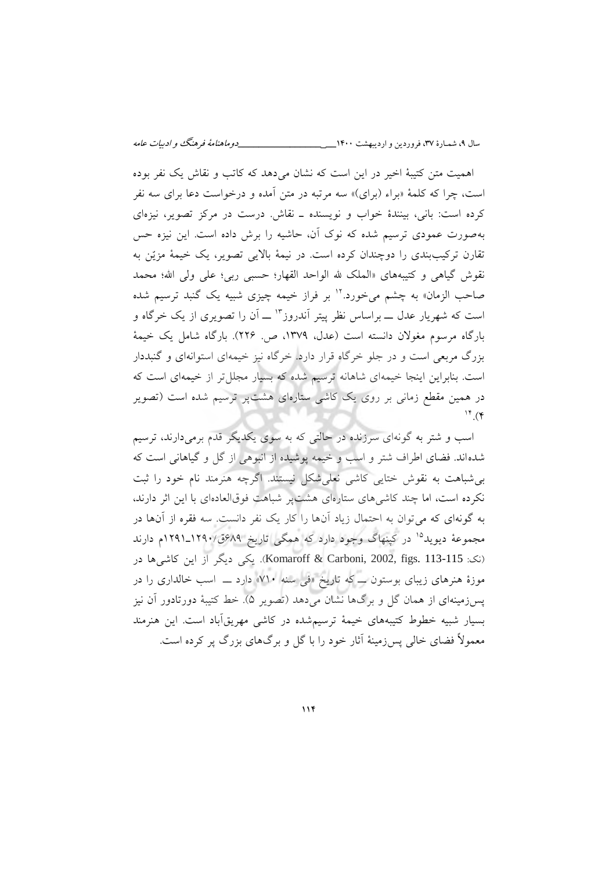اهمیت متن کتیبۀ اخیر در این است که نشان میدهد که کاتب و نقاش یک نفر بوده است، چرا که کلمۀ «براء (برای)» سه مرتبه در متن آمده و درخواست دعا برای سه نفر کرده است: بانی، بینندة خواب و نویسنده ـ نقاش. درست در مرکز تصویر، نیزهای بهصورت عمودی ترسیم شده که نوک آن، حاشیه را برش داده است. این نیزه حس تقارن ترکیببندی را دوچندان کرده است. در نیمۀ باالیی تصویر، یک خیمۀ مزیّن به نقوش گیاهی و کتیبههای «الملک لله الواحد القهار؛ حسبی ربی؛ علی ولی الله؛ محمد صاحب الزمان» به چشم میخورد.<sup>۱۲</sup> بر فراز خیمه چیزی شبیه یک گنبد ترسیم شده است که شهریار عدل ـــ براساس نظر پیتر آندروز <sup>۱۳</sup> ـــ آن را تصویری از یک خرگاه و بارگاه مرسوم مغوالن دانسته است )عدل، 0379 ، ص. 330(. بارگاه شامل یک خیمۀ بزرگ مربعی است و در جلو خرگاه قرار دارد. خرگاه نیز خیمهای استوانهای و گنبددار است. بنابراین اینجا خیمهای شاهانه ترسیم شده که بسیار مجللتر از خیمهای است که در همین مقطع زمانی بر روی یک کاشی ستارهای هشتپر ترسیم شده است )تصویر  $\mathfrak{h}$ . (۴

اسب و شتر به گونهای سرزنده در حالتی که به سوی یکدیگر قدم برمی دارند، ترسیم شدهاند. فضای اطراف شتر و اسب و خیمه پوشیده از انبوهی از گل و گیاهانی است که بیشباهت به نقوش ختایی کاشی نعلیشکل نیستند. اگرچه هنرمند نام خود را ثبت نکرده است، اما چند کاشیهای ستارهای هشتپر شباهت فوقالعادهای با این اثر دارند، به گونهای که میتوان به احتمال زیاد آنها را کار یک نفر دانست. سه فقره از آنها در مجموعۀ دیوید<sup>۱۵</sup> در کپنهاگ وجود دارد که همگی تاریخ ۶۸۹ق/۱۲۹۰\_۱۲۹۱م دارند )نک: 113-115 .figs 2002, ,Carboni & Komaroff). یکی دیگر از این کاشیها در موزة هنرهای زیبای بوستون ــ که تاریخ »فی سنه 701« دارد ــ اسب خالداری را در پسزمینهای از همان گل و برگها نشان میدهد )تصویر 1(. خط کتیبۀ دورتادور آن نیز بسیار شبیه خطوط کتیبههای خیمۀ ترسیمشده در کاشی مهریقآباد است. این هنرمند معموالً فضای خالی پسزمینۀ آثار خود را با گل و برگهای بزرگ پر کرده است.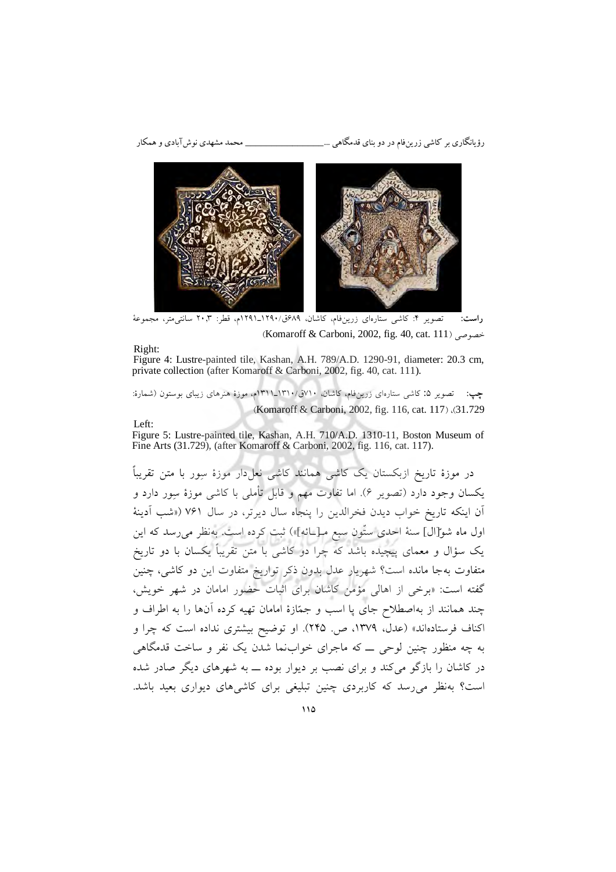رؤیانگاری بر کاشی زرینفام در دو بنای قدمگاهی ...\_\_\_\_\_\_\_\_\_\_\_\_\_\_\_ محمد مشهدی نوشآبادی و همکار



**راست: تصویر ۴:** کاشی ستارهای زرینفام، کاشان، ۸۹%ق/۱۲۹۰\_۱۲۹۱م، قطر: ۲۰٫۳ سانتی¤تر، مجموعهٔ )Komaroff & Carboni, 2002, fig. 40, cat. 111( خصوصی

Right: Figure 4: Lustre-painted tile, Kashan, A.H. 789/A.D. 1290-91, diameter: 20.3 cm, private collection (after Komaroff & Carboni, 2002, fig. 40, cat. 111).

**چپ:** 1تصویر : کاشی ستارهای زرینفام، کاشان، 701ق0301/ـ0300م، موزة هنرهای زیبای بوستون )شمارة: (Komaroff & Carboni, 2002, fig. 116, cat. 117) ،(31.729

Left:

Figure 5: Lustre-painted tile, Kashan, A.H. 710/A.D. 1310-11, Boston Museum of Fine Arts (31.729), (after Komaroff & Carboni, 2002, fig. 116, cat. 117).

در موزهٔ تاریخ ازبکستان یک کاشی همانند کاشی نعل۱ار موزهٔ سِور با متن تقریباً یکسان وجود دارد )تصویر 0(. اما تفاوت مهم و قابل تأملی با کاشی موزة سِور دارد و آن اینکه تاریخ خواب دیدن فخرالدین را پنجاه سال دیرتر، در سال ۷۶۱ («شب آدینهٔ اول ماه شوّ[ال] سنهٔ احدی ستّون سبع مـ[ــائه]») ثبت کرده است. بهنظر میرسد که این یک سؤال و معمای پیچیده باشد که چرا دو کاشی با متن تقریباً یکسان با دو تاریخ متفاوت بهجا مانده است؟ شهریار عدل بدون ذکر تواریخ متفاوت این دو کاشی، چنین »گفته است: برخی از اهالی مؤمن کاشان برای اثبات حضور امامان در شهر خویش، چند همانند از بهاصطالح جای پا اسب و جمّاز ة امامان تهیه کرده آنها را به اطراف و اکناف فرستادهاند» (عدل، ١٣٧٩، ص. ٢۴۵). او توضیح بیشتری نداده است که چرا و به چه منظور چنین لوحی ــ که ماجرای خوابنما شدن یک نفر و ساخت قدمگاهی در کاشان را بازگو میکند و برای نصب بر دیوار بوده ــ به شهرهای دیگر صادر شده است؟ بهنظر میرسد که کاربردی چنین تبلیغی برای کاشیهای دیواری بعید باشد.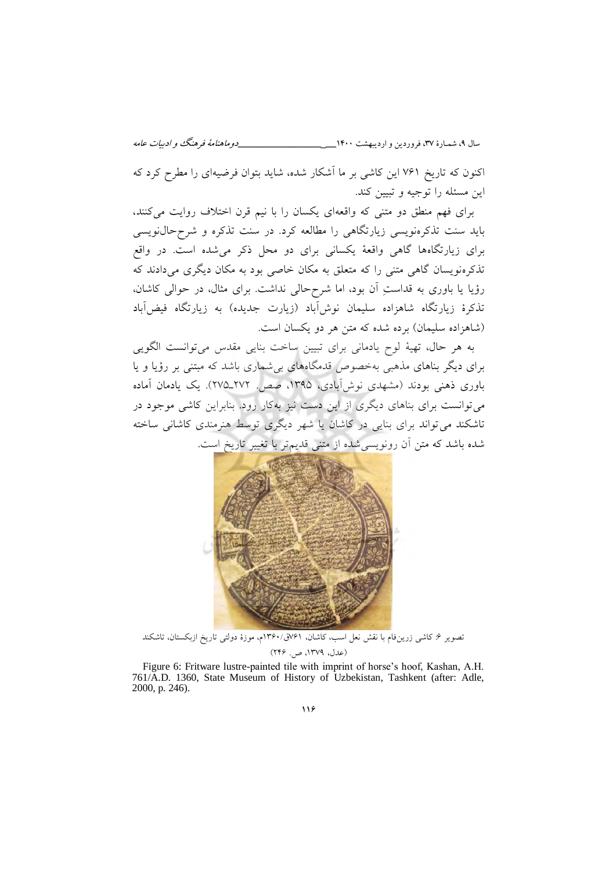سال ،9 شمـارة ،37 فروردین و اردیبهشت 0011**\_\_\_\_\_\_\_\_\_\_\_\_\_\_\_\_\_\_\_** دوماهنامة فرهنگ و ادبیات عامه

اکنون که تاریخ 700 این کاشی بر ما آشکار شده، شاید بتوان فرضیهای را مطرح کرد که این مسئله را توجیه و تبیین کند.

برای فهم منطق دو متنی که واقعهای یکسان را با نیم قرن اختالف روایت میکنند، باید سنت تذکرهنویسی زیارتگاهی را مطالعه کرد. در سنت تذکره و شرح نویسی حال برای زیارتگاهها گاهی واقعۀ یکسانی برای دو محل ذکر میشده است. در واقع تذکرهنویسان گاهی متنی را که متعلق به مکان خاصی بود به مکان دیگری می دادند که رؤیا یا باوری به قداستِ آن بود، اما شرح حالی نداشت. برای مثال، در حوالی کاشان، تذکرهٔ زیارتگاه شاهزاده سلیمان نوش[باد (زیارت جدیده) به زیارتگاه فیض]باد )شاهزاده سلیمان( برده شده که متن هر دو یکسان است.

 ۀهر حال، تهیبه لوح یادمانی برای تبیین ساخت بنایی مقدس میتوانست الگویی برای دیگر بناهای مذهبی بهخصوص قدمگاههای بیشماری باشد که مبتنی بر رؤیا و یا باوری ذهنی بودند )مشهدی نوشآبادی، 0391 ، صص. 373ـ371(. یک یادمان آماده میتوانست برای بناهای دیگری از این دست نیز به کار رود. بنابراین کاشی موجود در تاشکند میتواند برای بنایی در کاشان یا شهر دیگری توسط هنرمندی کاشانی ساخته شده باشد که متن آن رونویسیشده از متنی قدیمتر با تغییر تاریخ است.



تصویر ۶: کاشی زرینفام با نقش نعل اسب، کاشان، ۷۶۱ق/۱۳۶۰م، موزهٔ دولتی تاریخ ازبکستان، تاشکند )عدل، 0379 (،300 ص.

Figure 6: Fritware lustre-painted tile with imprint of horse's hoof, Kashan, A.H. 761/A.D. 1360, State Museum of History of Uzbekistan, Tashkent (after: Adle, 2000, p. 246).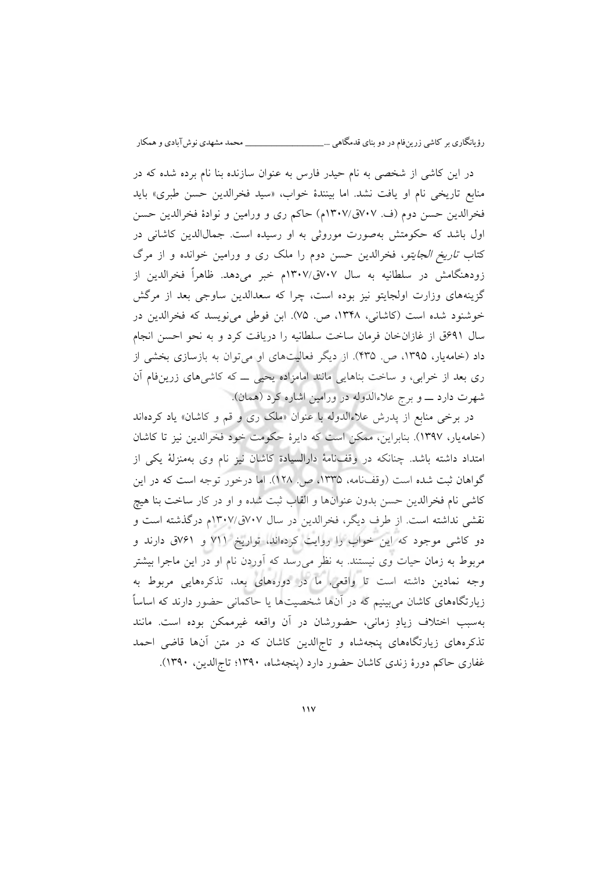در این کاشی از شخصی به نام حیدر فارس به عنوان سازنده بنا نام برده شده که در منابع تاریخی نام او یافت نشد. اما بینندهٔ خواب، «سید فخرالدین حسن طبری» باید فخرالدین حسن دوم (ف. ٧٠٧ق/١٣٠٧م) حاکم ری و ورامین و نوادهٔ فخرالدین حسن اول باشد که حکومتش بهصورت موروثی به او رسیده است. جمالالدین کاشانی در کتاب تاریخ الجایتو، فخرالدین حسن دوم را ملک ری و ورامین خوانده و از مرگ زودهنگامش در سلطانیه به سال 717ق0317/م خبر میدهد. ظاهراً فخرالدین از گزینههای وزارت اولجایتو نیز بوده است ، چرا که سعدالدین ساوجی بعد از مرگش خوشنود شده است (کاشانی، ۱۳۴۸، ص. ۷۵). ابن فوطی مینویسد که فخرالدین در سال 090ق از غازانخان فرمان ساخت سلطانیه را دریافت کرد و به نحو احسن انجام داد (خامه یار، ۱۳۹۵، ص. ۴۳۵). از دیگر فعالیتهای او می توان به بازسازی بخشی از ری بعد از خرابی، و ساخت بناهایی مانند امامزاده یحیی ــ که کاشی های زرین فام آن شهرت دارد ــــ و برج علاءالدوله در ورامین اشاره کرد (همان).

در برخی منابع از پدرش علاءالدوله با عنوان «ملک ری و قم و کاشان» یاد کردهاند (خامه یار، ۱۳۹۷). بنابراین، ممکن است که دایرهٔ حکومت خود فخرالدین نیز تا کاشان امتداد داشته باشد. چنانکه در وقفنامۀ دارالسیادة کاشان نیز نام وی بهمنزلۀ یکی از گواهان ثبت شده است )وقفنامه، 0331 ، ص. 031(. اما درخور توجه است که در این کاشی نام فخرالدین حسن بدون عنوانها و القاب ثبت شده و او در کار ساخت بنا هیچ نقشی نداشته است. از طرف دیگر، فخرالدین در سال 717ق0317/م درگذشته است و دو کاشی موجود که این خواب را روایت کردهاند، تواریخ 700 و 700 دارند و ق مربوط به زمان حیات وی نیستند. به نظر میرسد که آوردن نام او در این ماجرا بیشتر وجه نمادین داشته است تا واقعی. ما در دورههای بعد، تذکرههایی مربوط به زیارتگاههای کاشان می بینیم که در آنها شخصیتها یا حاکمانی حضور دارند که اساساً به سبب اختالف زیادِ زمانی، حضورشان در آن واقعه غیرممکن بوده است. مانند تذکرههای زیارتگاههای پنجهشاه و تاجالدین کاشان که در متن آنها قاضی احمد غفاری حاکم دورهٔ زندی کاشان حضور دارد (پنجهشاه، ۱۳۹۰؛ تاج الدین، ۱۳۹۰).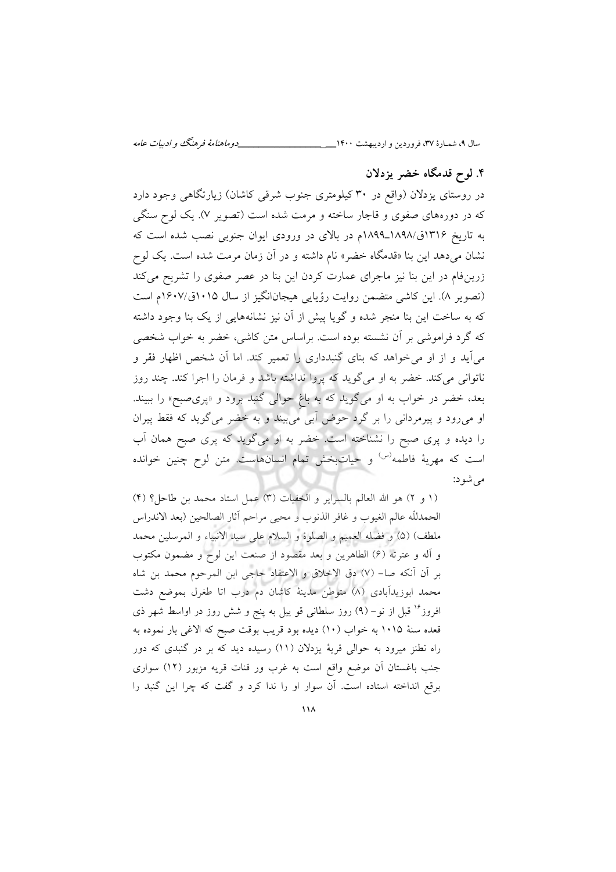سال ،9 شمـارة ،37 فروردین و اردیبهشت 0011**\_\_\_\_\_\_\_\_\_\_\_\_\_\_\_\_\_\_\_** دوماهنامة فرهنگ و ادبیات عامه

# **.1 لوح قدمگاه خضر یزدالن**

در روستای یزدلان (واقع در ۳۰ کیلومتری جنوب شرقی کاشان) زیارتگاهی وجود دارد که در دورههای صفوی و قاجار ساخته و مرمت شده است )تصویر 7(. یک لوح سنگی به تاریخ 0300ق0191/ـ0199م در باالی در ورودی ایوان جنوبی نصب شده است که نشان میدهد این بنا »قدمگاه خضر« نام داشته و در آن زمان مرمت شده است. یک لوح زرینفام در این بنا نیز ماجرای عمارت کردن این بنا در عصر صفوی را تشریح میکند (تصویر ۸). این کاشی متضمن روایت رؤیایی هیجانانگیز از سال ۱۰۱۵ق/۱۶۰۷م است که به ساخت این بنا منجر شده و گویا پیش از آن نیز نشانههایی از یک بنا وجود داشته که گرد فراموشی بر آن نشسته بوده است. براساس متن کاشی، خضر به خواب شخصی میآید و از او میخواهد که بنای گنبدداری را تعمیر کند. اما آن شخص اظهار فقر و ناتوانی میکند. خضر به او میگوید که پروا نداشته باشد و فرمان را اجرا کند. چند روز بعد، خضر در خواب به او میگوید که به باغِ حوالی گنبد برود و »پریصبح« را ببیند. او میرود و پیرمردانی را بر گرد حوض آبی میبیند و به خضر میگوید که فقط پیران را دیده و پری صبح را نشناخته است. خضر به او میگوید که پری صبح همان آب است که مهریۀ فاطمه<sup>(س)</sup> و حیاتبخش تمام انسانهاست. متن لوح چنین خوانده می شو د:

(1 و ٢) هو الله العالم بالسرایر و الخفیات (٣) عمل استاد محمد بن طاحل؟ (٢) الحمدللَّه عالم الغیوب و غافر الذنوب و محیی مراحم آثار الصالحین )بعد االندراس ملطف) (۵) و فضله العمیم و الصلوة و السلام علی سید الانبیاء و المرسلین محمد و آله و عترته )0( الطاهرین و بعد مقصود از صنعت این لوح و مضمون مکتوب بر آن آنکه صا- 7) ( دق االخالق و االعتقاد حاجی ابن المرحوم محمد بن شاه محمد ابوزیدآبادی (۸) متوطن مدینۀ کاشان دم درب اتا طغرل بموضع دشت افروز<sup>۱۶</sup> قبل از نو – (۹) روز سلطانی قو ییل به پنج و شش روز در اواسط شهر ذی قعده سنۀ ۱۰۱۵ به خواب (۱۰) دیده بود قریب بوقت صبح که الاغی بار نموده به راه نطنز میرود به حوالی قریۀ یزدالن )00( رسیده دید که بر در گنبدی که دور جنب باغستان آن موضع واقع است به غرب ور قنات قریه مزبور )03( سواری برقع انداخته استاده است. آن سوار او را ندا کرد و گفت که چرا این گنبد را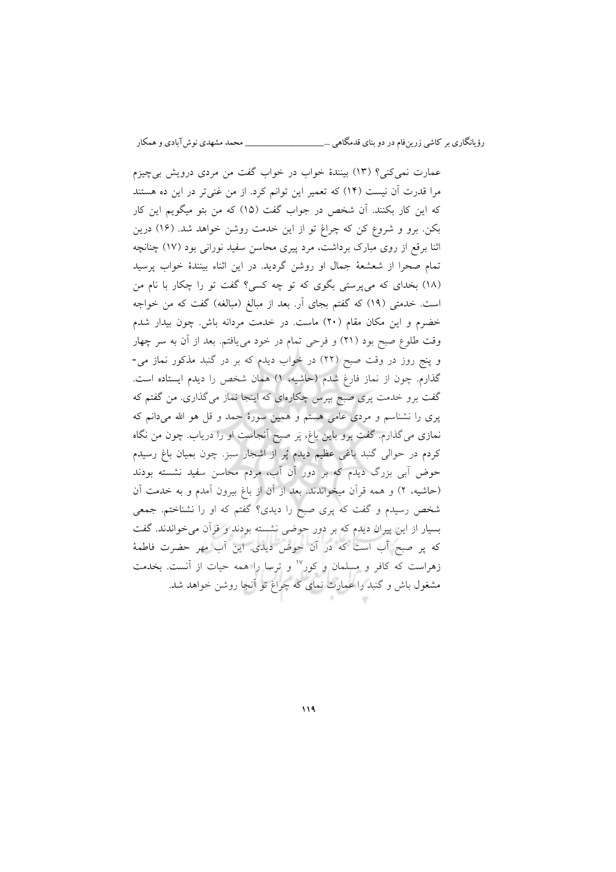عمارت نمیکنی؟ (١٣) بینندهٔ خواب در خواب گفت من مردی درویش بیچیزم مرا قدرت آن نیست (۱۴) که تعمیر این توانم کرد. از من غنیتر در این ده هستند که این کار بکنند. آن شخص در جواب گفت )01( که من بتو میگویم این کار بکن. برو و شروع کن که چراغ تو از این خدمت روشن خواهد شد. )00( درین اثنا برقع از روی مبارک برداشت، مرد پیری محاسن سفید نورانی بود )07( چنانچه تمام صحرا از شعشعۀ جمال او روشن گردید. در این اثناء بینندة خواب پرسید )01( بخدای که میپرستی بگوی که تو چه کسی؟ گفت تو را چکار با نام من است. خدمتی (١٩) که گفتم بجای آر. بعد از مبالغ (مبالغه) گفت که من خواجه خضرم و این مکان مقام )31( ماست. در خدمت مردانه باش. چون بیدار شدم وقت طلوع صبح بود (٢١) و فرحی تمام در خود می یافتم. بعد از آن به سر چهار و پنج روز در وقت صبح (٢٢) در خواب دیدم که بر در گنبد مذکور نماز می-گذارم. چون از نماز فارغ شدم (حاشیه، ۱) همان شخص را دیدم ایستاده است. گفت برو خدمت پری صبح بپرس چکارهای که اینجا نماز میگذاری. من گفتم که پری را نشناسم و مردی عامی هستم و همین سورة حمد و قل هو اهلل میدانم که نمازی میگذارم. گفت برو باین باغ، پَر صبح آنجاست او را دریاب. چون من نگاه کردم در حوالی گنبد باغی عظیم دیدم پُر از اشجار سبز. چون بمیان باغ رسیدم حوض آبی بزرگ دیدم که بر دور آن آب، مردم محاسن سفید نشسته بودند (حاشیه، ۲) و همه قرآن میخواندند. بعد از آن از باغ بیرون آمدم و به خدمت آن شخص رسیدم و گفت که پری صبح را دیدی؟ گفتم که او را نشناختم. جمعی بسیار از این پیران دیدم که بر دور حوضی نشسته بودند و قرآن می خواندند. گفت که پر صبح آب است که در آن حوض دیدی. این آب مهر حضرت فاطمۀ زهراست که کافر و مسلمان و کور<sup>۱۷</sup> و ترسا را همه حیات از آنست. بخدمت مشغول باش و گنبد را عمارت نمای که چراغ تو آنجا روشن خواهد شد.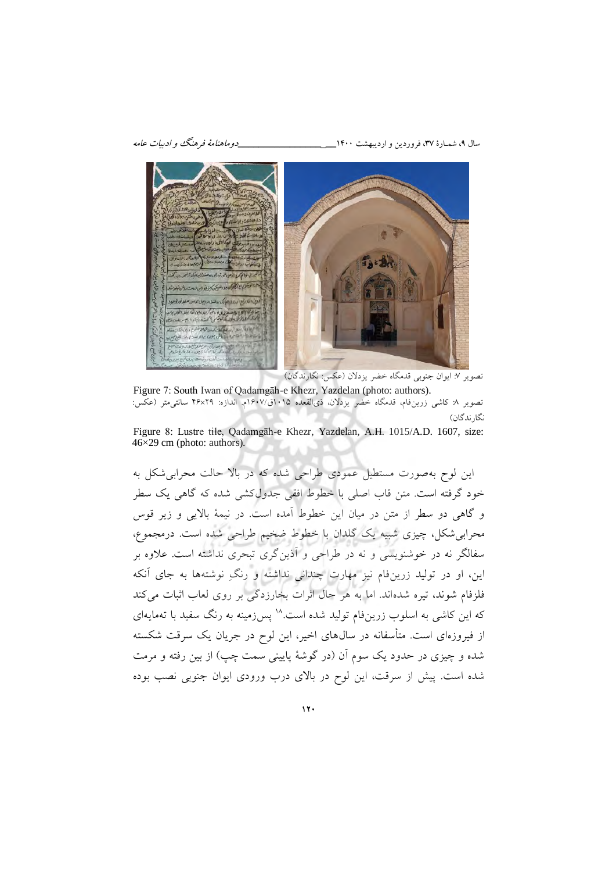سال ،9 شمـارة ،37 فروردین و اردیبهشت 0011**\_\_\_\_\_\_\_\_\_\_\_\_\_\_\_\_\_\_\_** دوماهنامة فرهنگ و ادبیات عامه



تصویر ۷: ایوان جنوبی قدمگاه خضر یزدلان (عکس: نگارندگان)

Figure 7: South Iwan of Qadamgāh-e Khezr, Yazdelan (photo: authors). تصویر ۸: کاشی زرین فام، قدمگاه خضر یزدلان، ذی القعده ۱۰۱۵ق/۱۶۰۷م. اندازه: ۴۶×۴۶ سانتی متر (عکس: نگارندگان)

Figure 8: Lustre tile, Qadamgāh-e Khezr, Yazdelan, A.H. 1015/A.D. 1607, size: 46×29 cm (photo: authors).

این لوح بهصورت مستطیل عمودی طراحی شده که در باال حالت محرابیشکل به خود گرفته است. متن قاب اصلی با خطوط افقی جدولکشی شده که گاهی یک سطر و گاهی دو سطر از متن در میان این خطوط آمده است. در نیمۀ باالیی و زیر قوس محرابی شکل، چیزی شبیه یک گلدان با خطوط ضخیم طراحی شده است. درمجموع، سفالگر نه در خوشنویسی و نه در طراحی و آذینگری تبحری نداشته است. عالوه بر این، او در تولید زرینفام نیز مهارت چندانی نداشته و رنگِ نوشته ها به جای آنکه فلزفام شوند، تیره شدهاند. اما به هر حال اثرات بخارزدگی بر روی لعاب اثبات میکند که این کاشی به اسلوب زرینفام تولید شده است.<sup>۱۸</sup> پس(مینه به رنگ سفید با تهمایهای از فیروزهای است. متأسفانه در سال۱های اخیر، این لوح در جریان یک سرقت شکسته شده و چیزی در حدود یک سوم آن )در گوشۀ پایینی سمت چپ( از بین رفته و مرمت شده است. پیش از سرقت، این لوح در باالی درب ورودی ایوان جنوبی نصب بوده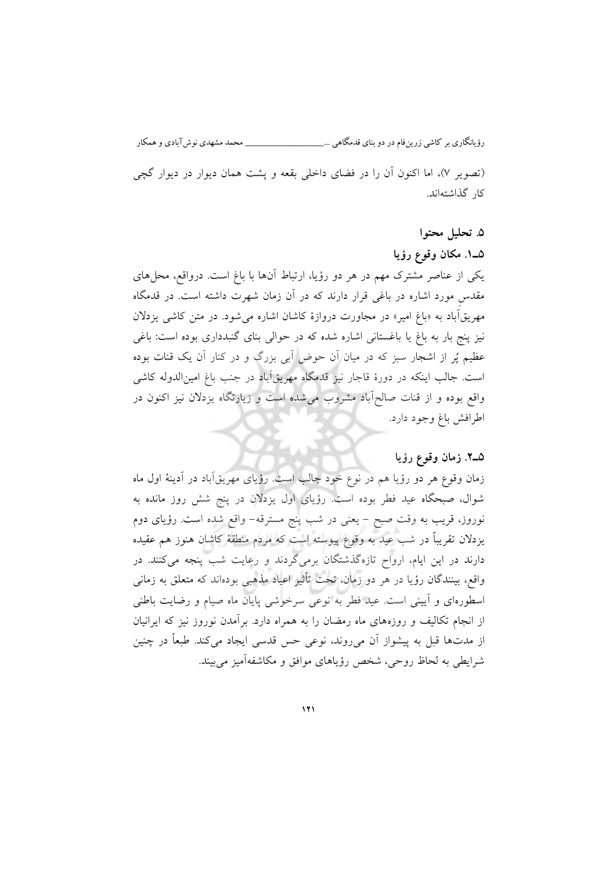رؤیانگاری بر کاشی زرینفام در دو بنای قدمگاهی ...\_\_\_\_\_\_\_\_\_\_\_\_\_\_\_ محمد مشهدی نوشآبادی و همکار (تصویر ۷)، اما اکنون آن را در فضای داخلی بقعه و پشت همان دیوار در دیوار گچی کار گذاشتهاند.

# **. تحلیل محتوا1**

### **1ـ1 . مکان وقوع رؤیا**

یکی از عناصر مشترک مهم در هر دو رؤیا، ارتباط آنها با باغ است. درواقع، محل های مقدسِ مورد اشاره در باغی قرار دارند که در آن زمان شهرت داشته است . در قدمگاه مهریق اباد به «باغ امیر» در مجاورت دروازهٔ کاشان اشاره می شود. در متن کاشی یزدلان نیز پنج بار به باغ یا باغستانی اشاره شده که در حوالی بنای گنبدداری بوده است: باغی عظیم پُر از اشجار سبز که در میان آن حوض آبی بزرگ و در کنار آن یک قنات بوده است. جالب اینکه در دورة قاجار نیز قدمگاه مهریقآباد در جنب باغ امینالدوله کاشی واقع بوده و از قنات صالحآباد مشروب میشده است و زیارتگاه یزدالن نیز اکنون در اطرافش باغ وجود دارد.

### **2ـ1 . زمان وقوع رؤیا**

زمان وقوع هر دو رؤیا هم در نوع خود جالب است. رؤیای مهریقآباد در آدینهٔ اول ماه شوال، صبحگاه عید فطر بوده است. رؤیای اول یزدالن در پنج شش روز مانده به نوروز، قریب به وقت صبح - یعنی در شب پنج مسترقه- واقع شده است. رؤیای دوم یزدالن تقریباً در شب عید به وقوع پیوسته است که مردم منطق ۀ کاشان هنوز هم عقیده دارند در این ایام، ارواح تازهگذشتگان برمیگردند و رعایت شب پنجه میکنند. در واقع، بینندگان رؤیا در هر دو زمان، تحت تأثیر اعیاد مذهبی بودهاند که متعلق به زمانی اسطورهای و آیینی است. عید فطر به نوعی سرخوشی پایان ماه صیام و رضایت باطنی از انجام تکالیف و روزههای ماه رمضان را به همراه دارد. برآمدن نوروز نیز که ایرانیان از مدتها قبل به پیشواز آن می روند، نوعی حس قدسی ایجاد میکند. طبعاً در چنین شرایطی به لحاظ روحی، شخص رؤیاهای موافق و مکاشفهآمیز میبیند.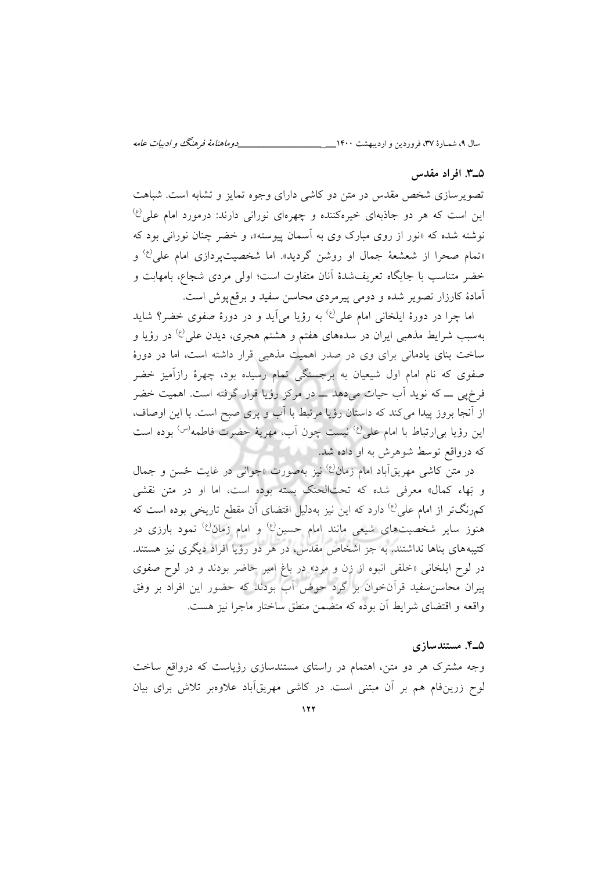سال ،9 شمـارة ،37 فروردین و اردیبهشت 0011**\_\_\_\_\_\_\_\_\_\_\_\_\_\_\_\_\_\_\_** دوماهنامة فرهنگ و ادبیات عامه

### **. افراد مقدس3ـ1**

تصویرسازی شخص مقدس در متن دو کاشی دارای وجوه تمایز و تشابه است. شباهت  $\ket{\psi}$ عن است که هر دو جاذبهای خیرهکننده و چهرهای نورانی دارند: درمورد امام علی نوشته شده که «نور از روی مبارک وی به آسمان پیوسته»، و خضر چنان نورانی بود که «تمام صحرا از شعشعهٔ جمال او روشن گردید». اما شخصیتپردازی امام علی<sup>(ع)</sup> و خضر متناسب با جایگاه تعریفشدة آنان متفاوت است ؛ اولی مردی شجاع، بامهابت و آمادة کارزار تصویر شده و دومی پیرمردی محاسن سفید و برقعپوش است.

اما چرا در دورهٔ ایلخانی امام علی<sup>(ع)</sup> به رؤیا می[ید و در دورهٔ صفوی خضر؟ شاید بهسبب شرایط مذهب<sub>ی</sub> ایران در سدههای هفتم و هشتم هجری، دیدن علی<sup>(ع)</sup> در رؤیا و ساخت بنای یادمانی برای وی در صدر اهمیت مذهبی قرار داشته است، اما در دورة صفوی که نام امام اول شیعیان به برجستگی تمام رسیده بود، چهرة رازآمیز خضر فرخپی ــ که نوید آب حیات میدهد ــ در مرکز رؤیا قرار گرفته است. اهمیت خضر از آنجا بروز پیدا میکند که داستان رؤیا مرتبط با آب و پری صبح است. با این اوصاف، این رؤیا ب<sub>ی</sub>ارتباط با امام عل<sub>ی</sub><sup>(ع)</sup> نیست چون آب، مهریۀ حضرت فاطمه<sup>(س)</sup> بوده است که درواقع توسط شوهرش به او داده شد.

در متن کاشی مهریقآباد امام زمان<sup>(ع)</sup> نیز بهصورت «جوانی در غایت حُسن و جمال و بَهاء کمال« معرفی شده که تحتالحنک بسته بوده است ، اما او در متن نقشی کمرنگتر از امام علی<sup>(ع)</sup> دارد که این نیز بهدلیل اقتضای آن مقطع تاریخی بوده است که هنوز سایر شخصیتهای شیعی مانند امام حسین<sup>(ع)</sup> و امام زمان<sup>(ع)</sup> نمود بارزی در کتیبههای بناها نداشتند. به جز اشخاص مقدس، در هر دو رؤیا افراد دیگری نیز هستند. در لوح ایلخانی »خلقی انبوه از زن و مرد« در باغ امیر حاضر بودند و در لوح صفوی پیران محاسنسفید قرآنخوان بر گرد حوض آب بودند که حضور این افراد بر وفق واقعه و اقتضای شرایط آن بوده که متضمن منطق ساختار ماجرا نیز هست.

### **. مستندسازی1ـ1**

وجه مشترک هر دو متن، اهتمام در راستای مستندسازی رؤیاست که درواقع ساخت لوح زرینفام هم بر آن مبتنی است. در کاشی مهریقآباد علاوهبر تلاش برای بیان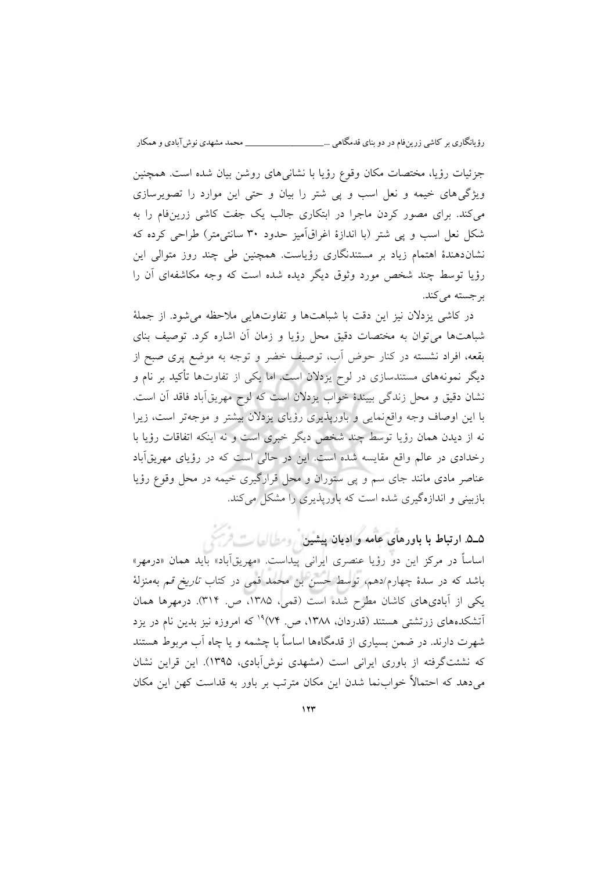جزئیات رؤیا، مختصات مکان وقوع رؤیا با نشانیهای روشن بیان شده است. همچنین ویژگیهای خیمه و نعل اسب و پی شتر را بیان و حتی این موارد را تصویرسازی میکند. برای مصور کردن ماجرا در ابتکاری جالب یک جفت کاشی زرینفام را به شکل نعل اسب و پی شتر )با اندازة اغراقآمیز حدود 31 سانتی متر( طراحی کرده که نشاندهندة اهتمام زیاد بر مستندنگاری رؤیاست. همچنین طی چند روز متوالی این رؤیا توسط چند شخص مورد وثوق دیگر دیده شده است که وجه مکاشفهای آن را کند. برجسته می

در کاشی یزدالن نیز این دقت با شباهتها و تفاوتهایی مالحظه میشود. از جملۀ ها میشباهت توان به مختصات دقیق محل رؤیا و زمان آن اشاره کرد. توصیف بنای بقعه، افراد نشسته در کنار حوض آب، توصیف خضر و توجه به موضع پری صبح از دیگر نمونههای مستندسازی در لوح یزدلان است. اما یکی از تفاوتها تأکید بر نام و نشان دقیق و محل زندگی بییندة خواب یزدالن است که لوح مهریقآباد فاقد آن است. با این اوصاف وجه واقعنمایی و باورپذیری رؤیای یزدالن بیشتر و موجهتر است، زیرا نه از دیدن همان رؤیا توسط چند شخص دیگر خبری است و نه اینکه اتفاقات رؤیا با رخدادی در عالم واقع مقایسه شده است. این در حالی است که در رؤیای مهریقآباد عناصر مادی مانند جای سم و پی ستوران و محل قرارگیری خیمه در محل وقوع رؤیا بازبینی و اندازهگیری شده است که باورپذیری را مشکل میکند.

**1ـ1 . ارتباط با باورهای و ادیان پیشین عامه**

اساساً در مرکز این دو رؤیا عنصری ایرانی پیداست. «مهریقآباد» باید همان «درمهر» باشد که در سدهٔ چهارم/دهم، توسط حسن بن محمد قمی در کتاب *تاریخ قم* بهمنزلۀ یکی از آبادیهای کاشان مطرح شده است (قمی، ۱۳۸۵، ص. ۳۱۴). درمهرها همان آتشکدههای زرتشتی هستند (قدردان، ۱۳۸۸، ص. <sup>۱۹</sup> (۷۴ که امروزه نیز بدین نام در یزد شهرت دارند. در ضمن بسیاری از قدمگاهها اساساً با چشمه و یا چاه آب مربوط هستند که نشئتگرفته از باوری ایرانی است (مشهدی نوشآبادی، ۱۳۹۵). این قراین نشان میدهد که احتماالً خوابنما شدن این مکان مترتب بر باور به قداست کهن این مکان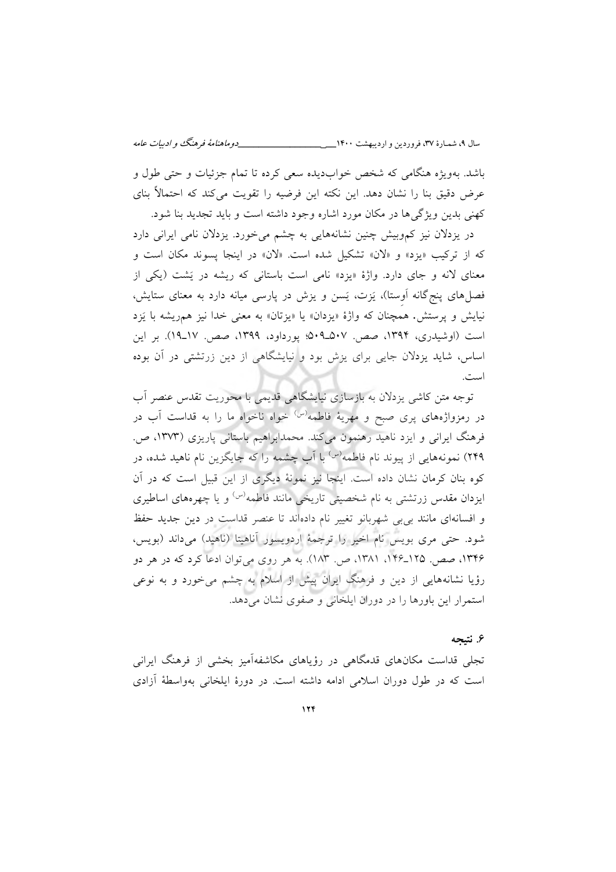باشد. بهویژه هنگامی که شخص خوابدیده سعی کرده تا تمام جزئیات و حتی طول و عرض دقیق بنا را نشان دهد. این نکته این فرضیه را تقویت میکند که احتماالً بنای کهنی بدین ویژگیها در مکان مورد اشاره وجود داشته است و باید تجدید بنا شود.

در یزدالن نیز کموبیش چنین نشانههایی به چشم میخورد. یزدالن نامی ایرانی دارد که از ترکیب «یزد» و «لان» تشکیل شده است. «لان» در اینجا پسوند مکان است و معنای لانه و جای دارد. واژهٔ «یزد» نامی است باستانی که ریشه در یَشت (یکی از فصل های پنج گانه اَوِستا)، یَزت، یَسن و یزش در پارسی میانه دارد به معنای ستایش، نیایش و پرستش. همچنان که واژة »یزدان« یا »یزتان« به معنی خدا نیز همریشه با یَزد است (اوشیدری، ۱۳۹۴، صص. ۵۰۷ــــــ۹۵۹؛ پورداود، ۱۳۹۹، صص. ۱۷ــــ۱۹). بر این اساس، شاید یزدالن جایی برای یزش بود و نیایشگاهی از دین زرتشتی در آن بوده است.

توجه متن کاشی یزدالن به بازسازی نیایشگاهی قدیمی با محوریت تقدس عنصر آب در رمزواژههای پری صبح و مهریهٔ فاطمه<sup>(س)</sup> خواه ناخواه ما را به قداست آب در فرهنگ ایرانی و ایزد ناهید رهنمون میکند. محمدابراهیم باستانی پاریزی ) 0373 ، ص. ۲۴۹) نمونههایی از پیوند نام فاطمه<sup>(س)</sup> با آب چشمه را که جایگزین نام ناهید شده، در کوه بنان کرمان نشان داده است. اینجا نیز نمونۀ دیگری از این قبیل است که در آن ایزدان مقدس زرتشتی به نام شخصیتی تاریخی مانند فاطمه<sup>(س)</sup> و یا چهرههای اساطیری و افسانهای مانند بیبی شهربانو تغییر نام دادهاند تا عنصر قداست در دین جدید حفظ شود. حتی مری بویس نام اخیر را ترجمۀ اردویسور آناهیتا (ناهید) میداند (بویس، ۱۳۴۶، صص. ۱۲۵-۱۴۶. ۱۳۸۱، ص. ۱۸۳). به هر روی میتوان ادعا کرد که در هر دو رؤیا نشانههایی از دین و فرهنگ ایران پیش از اسالم به چشم میخورد و به نوعی استمرار این باورها را در دوران ایلخانی و صفوی دهد. نشان می

### ۶. نتیجه

تجلی قداست مکانهای قدمگاهی در رؤیاهای مکاشفهآمیز بخشی از فرهنگ ایرانی است که در طول دوران اسلامی ادامه داشته است. در دورهٔ ایلخانی بهواسطهٔ أزادی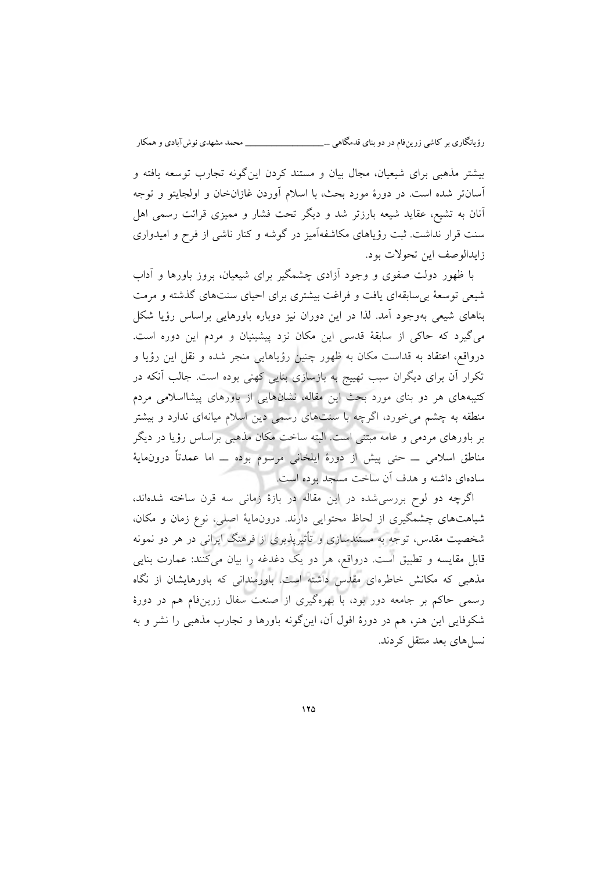بیشتر مذهبی برای شیعیان، مجال بیان و مستند کردن اینگونه تجارب توسعه یافته و آسان تر شده است. در دورهٔ مورد بحث، با اسلام آوردن غازانخان و اولجایتو و توجه آنان به تشیع، عقاید شیعه بارزتر شد و دیگر تحت فشار و ممیزی قرائت رسمی اهل سنت قرار نداشت. ثبت رؤیاهای مکاشفهآمیز در گوشه و کنار ناشی از فرح و امیدواری زایدالوصف این تحولات بود.

با ظهور دولت صفوی و وجود آزادی چشمگیر برای شیعیان، بروز باورها و آداب شیعی توسعۀ بیسابقهای یافت و فراغت بیشتری برای احیای سنتهای گذشته و مرمت بناهای شیعی بهوجود آمد. لذا در این دوران نیز دوباره باورهایی براساس رؤیا شکل میگیرد که حاکی از سابقۀ قدسی این مکان نزد پیشینیان و مردم این دوره است. درواقع، اعتقاد به قداست مکان به ظهور چنین رؤیاهایی منجر شده و نقل این رؤیا و تکرار آن برای دیگران سبب تهییج به بازسازی بنایی کهنی بوده است. جالب آنکه در کتیبههای هر دو بنای مورد بحث این مقاله، نشانهایی از باورهای پیشااسالمی مردم منطقه به چشم میخورد، اگرچه با سنتهای رسمی دین اسالم میانهای ندارد و بیشتر بر باورهای مردمی و عامه مبتنی است. البته ساخت مکان مذهبی براساس رؤیا در دیگر مناطق اسالمی ــ حتی پیش از دورة ایلخانی مرسوم بوده ــ اما عمدتاً درونمایۀ سادهای داشته و هدف آن ساخت مسجد بوده است.

اگرچه دو لوح بررسیشده در این مقاله در بازة زمانی سه قرن ساخته شدهاند، شباهتهای چشمگیری از لحاظ محتوایی دارند. درونمایۀ اصلی، نوع زمان و مکان، شخصیت مقدس، توجه به مستندسازی و تأثیرپذیری از فرهنگ ایرانی در هر دو نمونه قابل مقایسه و تطبیق است. درواقع، هر دو یک دغدغه را بیان میکنند: عمارت بنایی مذهبی که مکانش خاطرهای مقدس داشته است. باورمندانی که باورهایشان از نگاه رسمی حاکم بر جامعه دور بود، با بهرهگیری از صنعت سفال زرینفام هم در دورة شکوفایی این هنر، هم در دورهٔ افول آن، اینگونه باورها و تجارب مذهبی را نشر و به های بعد منسل نتقل کردند.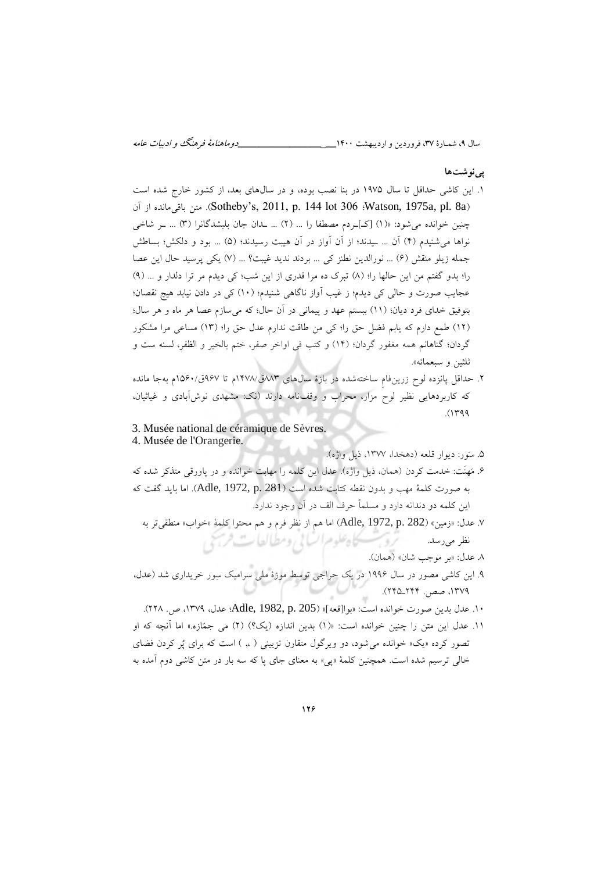سال ،9 شمـارة ،37 فروردین و اردیبهشت 0011**\_\_\_\_\_\_\_\_\_\_\_\_\_\_\_\_\_\_\_** دوماهنامة فرهنگ و ادبیات عامه

### **پی ها نوشت**

- .0 این کاشی حداقل تا سال 0971 در بنا نصب بوده، و در سالهای بعد، از کشور خارج شده است آن از باقیمانده متن .(Sotheby's, 2011, p. 144 lot 306 ؛Watson, 1975a, pl. 8a( چنین خوانده میشود: »)0( عکـ ـردم مصطفا را ... )3( ... ـدان جان بلبشدگانرا )3( ... ـر شاخی نواها می شنیدم (۴) آن ... ـیدند؛ از آن آواز در آن هیبت رسیدند؛ (۵) ... بود و دلکش؛ بساطش جمله زیلو منقش )0( ... نورالدین نطنز کی ... بردند ندید غیبت؟ ... )7( یکی پرسید حال این عصا را؛ بدو گفتم من این حالها را؛ (٨) تبرک ده مرا قدری از این شب؛ کی دیدم مر ترا دلدار و ... (٩) عجایب صورت و حالی کی دیدم؛ ز غیب آواز ناگاهی شنیدم؛ (١٠) کی در دادن نیابد هیچ نقصان؛ بتوفیق خدای فرد دیان؛ (١١) ببستم عهد و پیمانی در آن حال؛ که میسازم عصا هر ماه و هر سال؛ )03( طمع دارم که یابم فضل حق را؛ کی من طاقت ندارم عدل حق را؛ )03( مساعی مرا مشکور گردان؛ گناهانم همه مغفور گردان؛ (١۴) و کتب فی اواخر صفر، ختم بالخیر و الظفر، لسنه ست و ثلثین و سبعمائه«.
- ۲. حداقل پانزده لوح زرین فام ساختهشده در بازهٔ سال های ۱۲۷۳ق/۱۴۷۸م تا ۹۶۷ق/۱۵۶۰م بهجا مانده که کاربردهایی نظیر لوح مزار، محراب و وقفنامه دارند )نک: مشهدی نوشآبادی و غیاثیان،  $.0799$
- 3. Musée national de céramique de Sèvres. 4. Musée de l'Orangerie.
	- .1 سَور: دیوار قلعه )دهخدا، ،0377 ذیل واژه(.
- ۶. مَهنَت: خدمت کردن (همان، ذیل واژه). عدل این کلمه را مهابت خوانده و در پاورقی متذکر شده که به صورت کلمۀ مهب و بدون نقطه کتابت شده است )281 .p 1972, ,Adle). اما باید گفت که این کلمه دو دندانه دارد و مسلماً حرف الف در آن وجود ندارد.
	- ۷. عدل: «زمین» (Adle, 1972, p. 282) اما هم از نظر فرم و هم محتوا کلمۀ «خواب» منطقیتر به<br>نظر میرسد. نظر میرسد.
		- بر موجب شان». عدل: 1 « )همان(.
- .9 این کاشی مصور در سال 0990 در یک حراجی توسط موزة ملی سرامیک سِور خریداری شد )عدل، ١٣٧٩، صص. ٢٢٢\_٢٢٥).
	- 01. عدل بدین صورت خوانده است: « )بواعقعه » 205 .p 1982, ,Adle؛ عدل، ،0379 ص. 331(.
- 00. عدل این متن را چنین خوانده است: »)0( بدین اندازه )یک؟( ) ( می جمّازه3. « اما آنچه که او تصور کرده «یک» خوانده می شود، دو ویرگول متقارن تزیینی ( ،, ) است که برای پُر کردن فضای خالی ترسیم شده است. همچنین کلمۀ »پی« به معنای جای پا که سه بار در متن کاشی دوم آمده به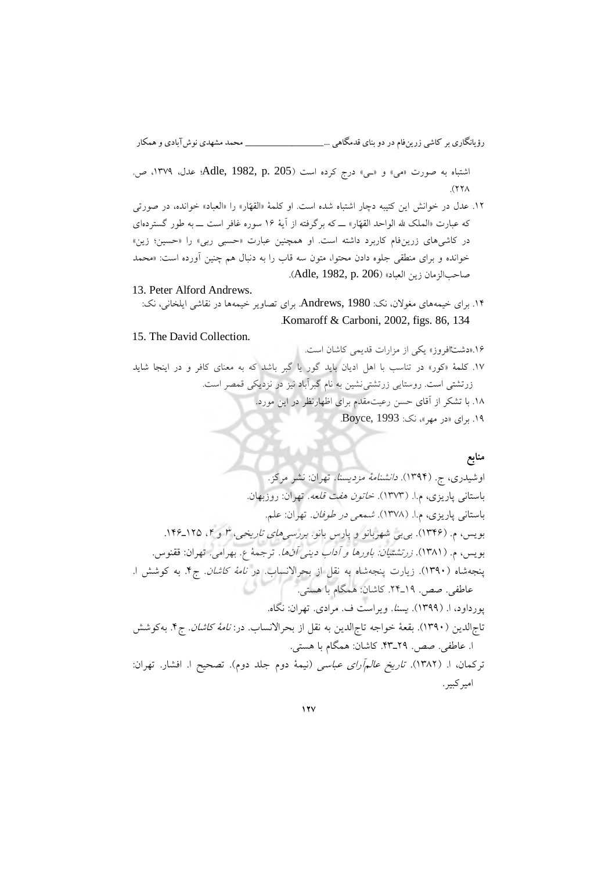اشتباه به صورت «می» و «ـی» درج کرده است (Adle, 1982, p. 205) عدل، ١٣٧٩، ص.  $(331)$ 

- ۱۲. عدل در خوانش این کتیبه دچار اشتباه شده است. او کلمۀ «القهّار» را «العباد» خوانده، در صورتی »که عبارت الملک هلل الواحد القهّار« ــ که برگرفته از آیۀ 00 سوره غافر است ــ به طور گستردهای در کاشیهای زرینفام کاربرد داشته است. او همچنین عبارت «حسبی ربی» را «حسین؛ زین» خوانده و برای منطقی جلوه دادن محتوا، متون سه قاب را به دنبال هم چنین آورده است: محمد » صاحبالزمان زین العباد» (Adle, 1982, p. 206).
- 13. Peter Alford Andrews.
	- برای خیمه 00. های مغوالن، نک: 1980 ,Andrews. برای تصاویر خیمهها در نقاشی ایلخانی، نک: .Komaroff & Carboni, 2002, figs. 86, 134

### 15. The David Collection.

.00» افروزدشتْ « یکی از مزارات قدیمی کاشان است. کور»کلمۀ 07. « در تناسب با اهل ادیان باید گور یا گبر باشد که به معنای کافر و در اینجا شاید زرتشتی است. روستایی زرتشتینشین به نام گبرآباد نیز در نزدیکی قمصر است. .01 با تشکر از آقای حسن رعیتمقدم برای اظهارنظر در این مورد. ۱۹. برای «در مهر»، نک: Boyce, 1993.

### **منابع**

 اوشیدری، ج. (0390) . مزدیسنا ۀدانشنام . مرکز. نشر تهران: (. 0373) م.ا.پاریزی، باستانی خاتون هفت قلعه. تهران: روزبهان. (. 0371) م.ا.پاریزی، باستانی شمعی در طوفان . تهران: علم. بویس، م. 0300) (. بیبی بانو. پارس و شهربانو تاریخی هایبررسی ، <sup>3</sup> و <sup>0</sup> 000.ـ031 ، بویس، م. .(0310) زرتشتیان: دینی آداب و باورها آنها ۀترجم . ع. تهران بهرامی. : .ققنوس شاهپنجه (. زیارت0391) شاهپنجه به نقل از .بحراالنساب در کاشان ۀنام 0.ج . به کوشش ا. . صص.عاطفی 09ـ.30 کاشان: همگام با هستی. پورداود، ا. (0399) . یسنا. ویراست ف. مرادی . نگاه تهران: . الدین )تاج الدینتاج خواجه ۀ(. بقع0391 به نقل از در: .بحراالنساب کاشان ۀنام 0.ج . به کوشش ا. . صص.عاطفی 39ـ.03 کاشان: همگام با هستی. ترکمان، ا. 0313) (. عباسی آرایعالم تاریخ تصحیح .(دوم جلد دوم ۀنیم) ا. تهران: افشار. امیرکبیر.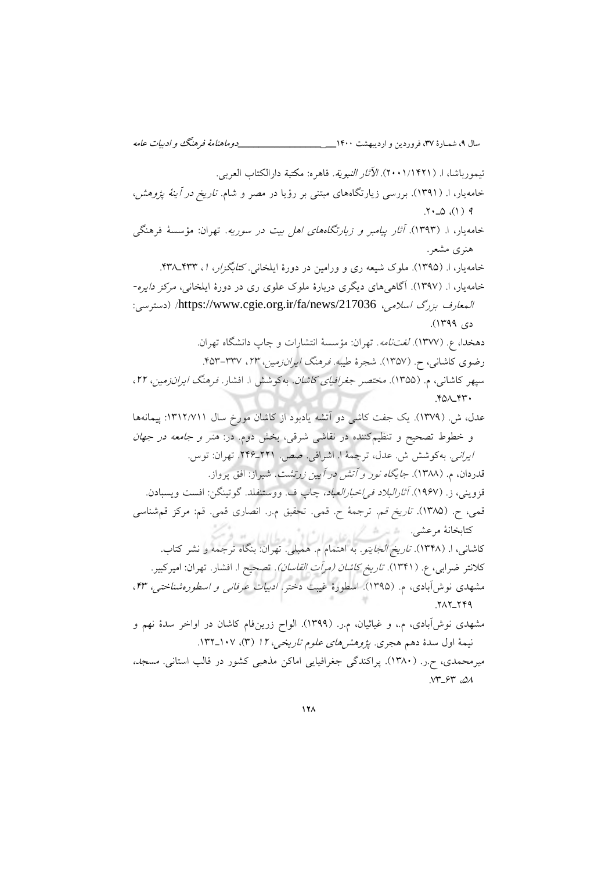سال ،9 شمـارة ،37 فروردین و اردیبهشت 0011**\_\_\_\_\_\_\_\_\_\_\_\_\_\_\_\_\_\_\_** دوماهنامة فرهنگ و ادبیات عامه تیمورباشا، ا. (١/ ٢٠٠١/١٣٢١). *الآثار النبوية.* قاهره: مكتبة دارالكتاب العربي. خامه یار، ا. (۱۳۹۱). بررسی زیارتگاههای مبتنی بر رؤیا در مصر و شام. *تاریخ در آینهٔ پژوهش،*  $\uparrow \cdot \Delta$  (1) 9 خامه یار، ا. (۱۳۹۳). *آثار پیامبر و زیارتگاههای اهل بیت در سوریه*. تهران: مؤسسهٔ فرهنگی هنری مشعر . خامه یار، ا. (۱۳۹۵). ملوک شیعه ری و ورامین در دورهٔ ایلخانی. کت*ابگزار، ۱، ۴*۳۳ـ۴۳۸. خامه یار، ا. (۱۳۹۷). آگاهی های دیگری دربارهٔ ملوک علوی ری در دورهٔ ایلخانی، *مرکز دایره*المعارف بزرگ اسلامی، [https://www.cgie.org.ir/fa/news/217036](https://www.cgie.org.ir/fa/news/217036/)/ (دسترسی: دی ۱۳۹۹). دهخدا، ع. (١٣٧٧). *لغتنامه*. تهران: مؤسسۀ انتشارات و چاپ دانشگاه تهران. رضوی کاشانی، ح. (۱۳۵۷). شجرهٔ طیبه. فرهنگ *ایرانزمین، ۲۳،* ۲۳۷-۴۵۳. سپهر کاشانی، م. (۱۳۵۵). *مختصر جغرافیای کاشان*. بهکوشش ا. افشار. *فرهنگ ایرانزمین، ۲۲*،  $YQ\wedge YY$ عدل، ش. (١٣٧٩). یک جفت کاشی دو آتشه یادبود از کاشان مورخ سال ١٣١٢/٧١١: پیمانهها و خطوط تصحیح و تنظیمکننده در نقاشی شرقی، بخش دوم. در: *هنر و جامعه در جهان* ایرانی. بهکوشش ش. عدل، ترجمۀ ا. اشراقی. صص. ٢٢١ـ٢٢۶. تهران: توس. قدردان، م. (۱۳۸۸). *جایگاه نور و آتش در آیین زرتشت*. شیراز: افق پرواز. قزوینی، ز. (۱۹۶۷). *آثار البلاد فی اخبار العباد*، چاپ ف. ووستنفلد. گوتینگن: افست ویسبادن. قمی، ح. (۱۳۸۵). ت*اریخ قم.* ترجمهٔ ح. قمی. تحقیق م.ر. انصاری قمی. قم: مرکز قم شناسی کتابخانهٔ مرعشی. ﴿ مِنْ هُمُ كُلْ عَلَى هِ إِلَيْ .<br>کاشانی، ا. (۱۳۴۸) ت*اریخ الجایتو*. به اهتمام م. همبلی. تهران: بنگاه ترجمه و نشر کتاب. کلانتر ضرابی، ع. (١٣۴١). *تاریخ کاشان (مرآت القاسان)*. تصحیح ا. افشار. تهران: امیرکبیر. مشهدی نوشآبادی، م. (۱۳۹۵). اسطورهٔ غیبت دختر. *ادبیات عرفانی و اسطورهشناختی، ۴۳*، **717 749** مشهدی نوش[بادی، م.، و غیاثیان، م.ر. (۱۳۹۹). الواح زرینفام کاشان در اواخر سدهٔ نهم و نیمۀ اول سدۀ دهم هجری. *پژوهشهای علوم تاریخی، ١٢* (٣)، ١٠٧\_١٣٢. میرمحمدی، ح.ر. (۱۳۸۰). پراکندگی جغرافیایی اماکن مذهبی کشور در قالب استانی. مسج*د،*  $NT$  $-5$  $Y$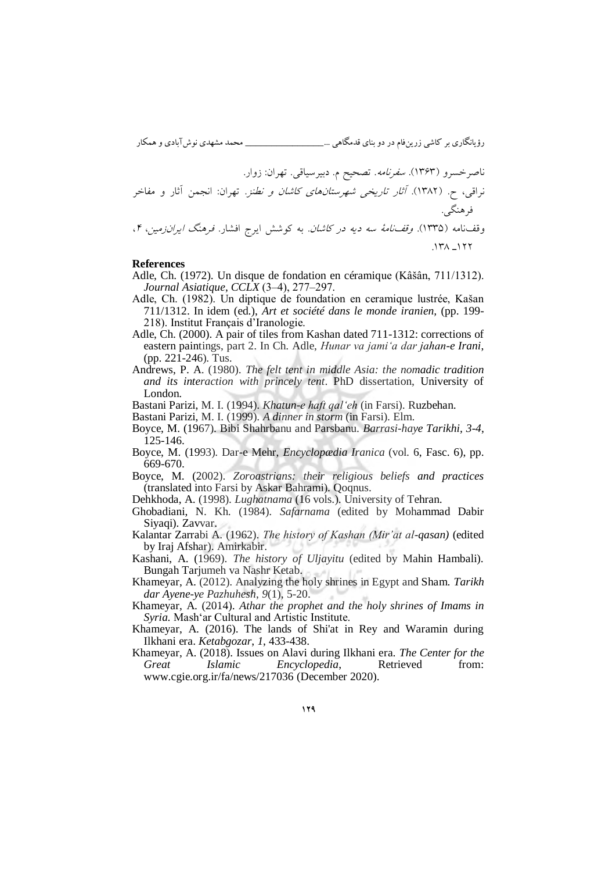ناصرخسرو ) (. 0303 سفرنامه ن: زوار.تهرا .اقییسم. دبیر. تصحیح نراقی، ح. (. 0313) آثار تاریخی شهرستانهای کاشان و نطنز. تهران: انجمن آثار و مفاخر فرهنگی. (. 0331نامه )وقف نامۀوقف سه دیه در کاشان . به افشار. ایرج کوشش زمینایران فرهنگ ، ،<sup>0</sup> 033 031. ـ

#### **References**

- Adle, Ch. (1972). Un disque de fondation en céramique (Kâšân, 711/1312). *Journal Asiatique*, *CCLX* (3‒4), 277‒297.
- Adle, Ch. (1982). Un diptique de foundation en ceramique lustrée, Kašan 711/1312. In idem (ed.), *Art et société dans le monde iranien,* (pp. 199- 218). Institut Français d'Iranologie.
- Adle, Ch. (2000). A pair of tiles from Kashan dated 711-1312: corrections of eastern paintings, part 2. In Ch. Adle, *Hunar va jami'a dar jahan-e Irani*, (pp. 221-246). Tus.
- Andrews, P. A. (1980). *The felt tent in middle Asia: the nomadic tradition and its interaction with princely tent*. PhD dissertation, University of London.
- Bastani Parizi, M. I. (1994). *Khatun-e haft qal'eh* (in Farsi). Ruzbehan.

Bastani Parizi, M. I. (1999). *A dinner in storm* (in Farsi). Elm.

- Boyce, M. (1967). Bibi Shahrbanu and Parsbanu. *Barrasi-haye Tarikhi, 3-4*, 125-146.
- Boyce, M. (1993). Dar-e Mehr, *Encyclopædia Iranica* (vol. 6, Fasc. 6), pp. 669-670.
- Boyce, M. (2002). *Zoroastrians: their religious beliefs and practices* (translated into Farsi by Askar Bahrami). Qoqnus.
- Dehkhoda, A. (1998). *Lughatnama* (16 vols.). University of Tehran.
- Ghobadiani, N. Kh. (1984). *Safarnama* (edited by Mohammad Dabir Siyaqi). Zavvar.
- Kalantar Zarrabi A. (1962). *The history of Kashan (Mir'at al-qasan)* (edited by Iraj Afshar). Amirkabir.
- Kashani, A. (1969). *The history of Uljayitu* (edited by Mahin Hambali). Bungah Tarjumeh va Nashr Ketab.
- Khameyar, A. (2012). Analyzing the holy shrines in Egypt and Sham. *Tarikh dar Ayene-ye Pazhuhesh*, *9*(1), 5-20.
- Khameyar, A. (2014). *Athar the prophet and the holy shrines of Imams in Syria.* Mash'ar Cultural and Artistic Institute.
- Khameyar, A. (2016). The lands of Shi'at in Rey and Waramin during Ilkhani era. *Ketabgozar*, *1*, 433-438.
- Khameyar, A. (2018). Issues on Alavi during Ilkhani era. *The Center for the Great Islamic Encyclopedia*, Retrieved from: [www.cgie.org.ir/fa/news/217036](http://www.cgie.org.ir/fa/news/217036) (December 2020).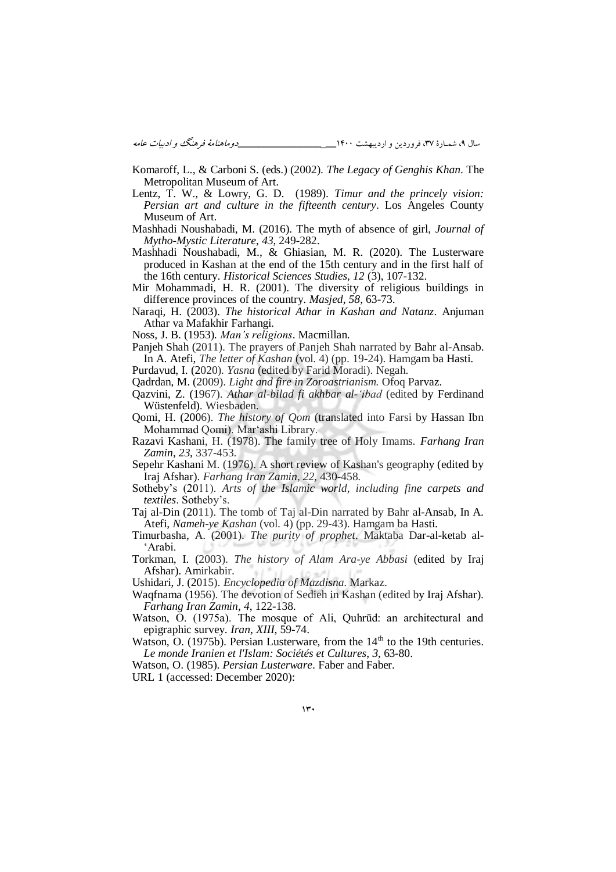- Komaroff, L., & Carboni S. (eds.) (2002). *The Legacy of Genghis Khan*. The Metropolitan Museum of Art.
- Lentz, T. W., & Lowry, G. D. (1989). *Timur and the princely vision: Persian art and culture in the fifteenth century*. Los Angeles County Museum of Art.
- Mashhadi Noushabadi, M. (2016). The myth of absence of girl, *Journal of Mytho-Mystic Literature*, *43*, 249-282.
- Mashhadi Noushabadi, M., & Ghiasian, M. R. (2020). The Lusterware produced in Kashan at the end of the 15th century and in the first half of the 16th century. *Historical Sciences Studies, 12* (3), 107-132.
- Mir Mohammadi, H. R. (2001). The diversity of religious buildings in difference provinces of the country. *Masjed*, *58*, 63-73.
- Naraqi, H. (2003). *The historical Athar in Kashan and Natanz*. Anjuman Athar va Mafakhir Farhangi.
- Noss, J. B. (1953). *Man's religions*. Macmillan.
- Panjeh Shah (2011). The prayers of Panjeh Shah narrated by Bahr al-Ansab. In A. Atefi, *The letter of Kashan* (vol. 4) (pp. 19-24). Hamgam ba Hasti.
- Purdavud, I. (2020). *Yasna* (edited by Farid Moradi). Negah.
- Qadrdan, M. (2009). *Light and fire in Zoroastrianism.* Ofoq Parvaz.
- Qazvini, Z. (1967). *Athar al-bilad fi akhbar al-'ibad* (edited by Ferdinand Wüstenfeld). Wiesbaden.
- Qomi, H. (2006). *The history of Qom* (translated into Farsi by Hassan Ibn Mohammad Qomi). Mar'ashi Library.
- Razavi Kashani, H. (1978). The family tree of Holy Imams. *Farhang Iran Zamin*, *23*, 337-453.
- Sepehr Kashani M. (1976). A short review of Kashan's geography (edited by Iraj Afshar). *Farhang Iran Zamin*, *22*, 430-458.
- Sotheby's (2011). *Arts of the Islamic world, including fine carpets and textiles*. Sotheby's.
- Taj al-Din (2011). The tomb of Taj al-Din narrated by Bahr al-Ansab, In A. Atefi, *Nameh-ye Kashan* (vol. 4) (pp. 29-43). Hamgam ba Hasti.
- Timurbasha, A. (2001). *The purity of prophet*. Maktaba Dar-al-ketab al- 'Arabi.
- Torkman, I. (2003). *The history of Alam Ara-ye Abbasi* (edited by Iraj Afshar). Amirkabir.

Ushidari, J. (2015). *Encyclopedia of Mazdisna*. Markaz.

- Waqfnama (1956). The devotion of Sedieh in Kashan (edited by Iraj Afshar). *Farhang Iran Zamin*, *4*, 122-138.
- Watson, O. (1975a). The mosque of Ali, Quhrūd: an architectural and epigraphic survey. *Iran*, *XIII,* 59-74.
- Watson, O. (1975b). Persian Lusterware, from the  $14<sup>th</sup>$  to the 19th centuries. *Le monde Iranien et l'Islam: Sociétés et Cultures*, *3*, 63-80.
- Watson, O. (1985). *Persian Lusterware*. Faber and Faber.

URL 1 (accessed: December 2020):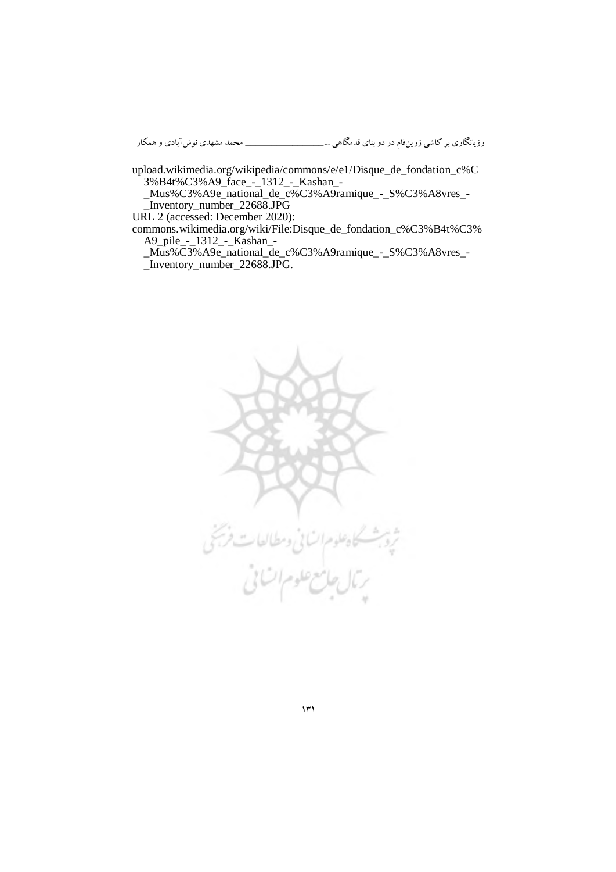[upload.wikimedia.org/wikipedia/commons/e/e1/Disque\\_de\\_fondation\\_c%C](https://upload.wikimedia.org/wikipedia/commons/e/e1/Disque_de_fondation_c%C3%B4t%C3%A9_face_-_1312_-_Kashan_-_Mus%C3%A9e_national_de_c%C3%A9ramique_-_S%C3%A8vres_-_Inventory_number_22688.JPG) [3%B4t%C3%A9\\_face\\_-\\_1312\\_-\\_Kashan\\_-](https://upload.wikimedia.org/wikipedia/commons/e/e1/Disque_de_fondation_c%C3%B4t%C3%A9_face_-_1312_-_Kashan_-_Mus%C3%A9e_national_de_c%C3%A9ramique_-_S%C3%A8vres_-_Inventory_number_22688.JPG)

[\\_Mus%C3%A9e\\_national\\_de\\_c%C3%A9ramique\\_-\\_S%C3%A8vres\\_-](https://upload.wikimedia.org/wikipedia/commons/e/e1/Disque_de_fondation_c%C3%B4t%C3%A9_face_-_1312_-_Kashan_-_Mus%C3%A9e_national_de_c%C3%A9ramique_-_S%C3%A8vres_-_Inventory_number_22688.JPG)  $\overline{\phantom{a}}$ Inventory number 22688.JPG

URL 2 (accessed: December 2020):

[commons.wikimedia.org/wiki/File:Disque\\_de\\_fondation\\_c%C3%B4t%C3%](https://commons.wikimedia.org/wiki/File:Disque_de_fondation_c%C3%B4t%C3%A9_pile_-_1312_-_Kashan_-_Mus%C3%A9e_national_de_c%C3%A9ramique_-_S%C3%A8vres_-_Inventory_number_22688.JPG) [A9\\_pile\\_-\\_1312\\_-\\_Kashan\\_-](https://commons.wikimedia.org/wiki/File:Disque_de_fondation_c%C3%B4t%C3%A9_pile_-_1312_-_Kashan_-_Mus%C3%A9e_national_de_c%C3%A9ramique_-_S%C3%A8vres_-_Inventory_number_22688.JPG)

[\\_Mus%C3%A9e\\_national\\_de\\_c%C3%A9ramique\\_-\\_S%C3%A8vres\\_-](https://commons.wikimedia.org/wiki/File:Disque_de_fondation_c%C3%B4t%C3%A9_pile_-_1312_-_Kashan_-_Mus%C3%A9e_national_de_c%C3%A9ramique_-_S%C3%A8vres_-_Inventory_number_22688.JPG)

[\\_Inventory\\_number\\_22688.JPG.](https://commons.wikimedia.org/wiki/File:Disque_de_fondation_c%C3%B4t%C3%A9_pile_-_1312_-_Kashan_-_Mus%C3%A9e_national_de_c%C3%A9ramique_-_S%C3%A8vres_-_Inventory_number_22688.JPG)